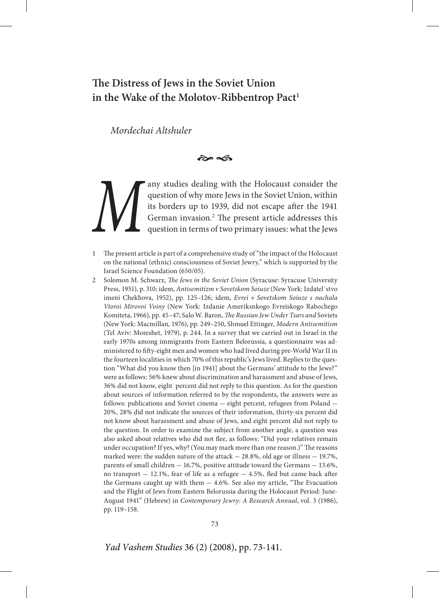# **The Distress of Jews in the Soviet Union**  in the Wake of the Molotov-Ribbentrop Pact<sup>1</sup>

*Mordechai Altshuler*

 $\approx$ 

**Many studies dealing with the Holocaust consider the question of why more Jews in the Soviet Union, within its borders up to 1939, did not escape after the 1941 German invasion.<sup>2</sup> The present article addresses this quest** question of why more Jews in the Soviet Union, within its borders up to 1939, did not escape after the 1941 German invasion.<sup>2</sup> The present article addresses this question in terms of two primary issues: what the Jews

The present article is part of a comprehensive study of "the impact of the Holocaust on the national (ethnic) consciousness of Soviet Jewry," which is supported by the Israel Science Foundation (650/05).

2 Solomon M. Schwarz, *The Jews in the Soviet Union* (Syracuse: Syracuse University Press, 1951), p. 310; idem, *Antisemitizm v Sovetskom Soiuze* (New York: Izdatel`stvo imeni Chekhova, 1952), pp. 125–126; idem, *Evrei v Sovetskom Soiuze s nachala Vtoroi Mirovoi Voiny* (New York: Izdanie Ameriksnkogo Evreiskogo Rabochego Komiteta, 1966), pp. 45–47; Salo W. Baron, *The Russian Jew Under Tsars and* Soviets (New York: Macmillan, 1976), pp. 249–250, Shmuel Ettinger, *Modern Antisemitism* (Tel Aviv: Moreshet, 1979), p. 244. In a survey that we carried out in Israel in the early 1970s among immigrants from Eastern Belorussia, a questionnaire was administered to fifty-eight men and women who had lived during pre-World War II in the fourteen localities in which 70% of this republic's Jews lived. Replies to the question "What did you know then [in 1941] about the Germans' attitude to the Jews?" were as follows: 56% knew about discrimination and harassment and abuse of Jews, 36% did not know, eight percent did not reply to this question. As for the question about sources of information referred to by the respondents, the answers were as follows: publications and Soviet cinema — eight percent, refugees from Poland — 20%, 28% did not indicate the sources of their information, thirty-six percent did not know about harassment and abuse of Jews, and eight percent did not reply to the question. In order to examine the subject from another angle, a question was also asked about relatives who did not flee, as follows: "Did your relatives remain under occupation? If yes, why? (You may mark more than one reason.)" The reasons marked were: the sudden nature of the attack — 28.8%, old age or illness — 19.7%, parents of small children — 16.7%, positive attitude toward the Germans — 13.6%, no transport — 12.1%, fear of life as a refugee — 4.5%, fled but came back after the Germans caught up with them — 4.6%. See also my article, "The Evacuation and the Flight of Jews from Eastern Belorussia during the Holocaust Period: June-August 1941" (Hebrew) in *Contemporary Jewry: A Research Annual*, vol. 3 (1986), pp. 119–158.

*Yad Vashem Studies* 36 (2) (2008), pp. 73-141.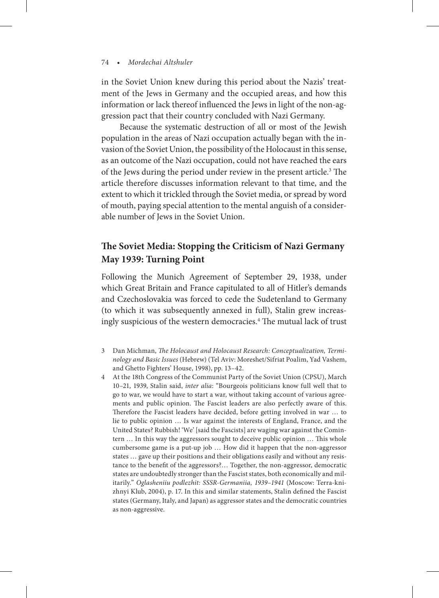in the Soviet Union knew during this period about the Nazis' treatment of the Jews in Germany and the occupied areas, and how this information or lack thereof influenced the Jews in light of the non-aggression pact that their country concluded with Nazi Germany.

Because the systematic destruction of all or most of the Jewish population in the areas of Nazi occupation actually began with the invasion of the Soviet Union, the possibility of the Holocaust in this sense, as an outcome of the Nazi occupation, could not have reached the ears of the Jews during the period under review in the present article.<sup>3</sup> The article therefore discusses information relevant to that time, and the extent to which it trickled through the Soviet media, or spread by word of mouth, paying special attention to the mental anguish of a considerable number of Jews in the Soviet Union.

## **The Soviet Media: Stopping the Criticism of Nazi Germany May 1939: Turning Point**

Following the Munich Agreement of September 29, 1938, under which Great Britain and France capitulated to all of Hitler's demands and Czechoslovakia was forced to cede the Sudetenland to Germany (to which it was subsequently annexed in full), Stalin grew increasingly suspicious of the western democracies.<sup>4</sup> The mutual lack of trust

- 3 Dan Michman, *The Holocaust and Holocaust Research: Conceptualization, Terminology and Basic Issues* (Hebrew) (Tel Aviv: Moreshet/Sifriat Poalim, Yad Vashem, and Ghetto Fighters' House, 1998), pp. 13–42.
- 4 At the 18th Congress of the Communist Party of the Soviet Union (CPSU), March 10–21, 1939, Stalin said, *inter alia*: "Bourgeois politicians know full well that to go to war, we would have to start a war, without taking account of various agreements and public opinion. The Fascist leaders are also perfectly aware of this. Therefore the Fascist leaders have decided, before getting involved in war … to lie to public opinion … Is war against the interests of England, France, and the United States? Rubbish! 'We' [said the Fascists] are waging war against the Comintern … In this way the aggressors sought to deceive public opinion … This whole cumbersome game is a put-up job … How did it happen that the non-aggressor states … gave up their positions and their obligations easily and without any resistance to the benefit of the aggressors?… Together, the non-aggressor, democratic states are undoubtedly stronger than the Fascist states, both economically and militarily." *Oglasheniiu podlezhit: SSSR-Germaniia, 1939–1941* (Moscow: Terra-knizhnyi Klub, 2004), p. 17. In this and similar statements, Stalin defined the Fascist states (Germany, Italy, and Japan) as aggressor states and the democratic countries as non-aggressive.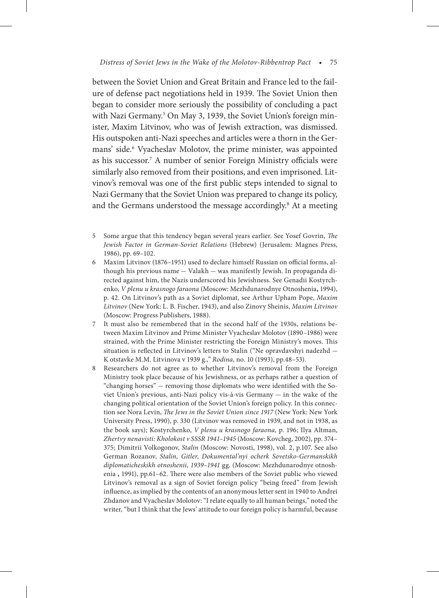between the Soviet Union and Great Britain and France led to the failure of defense pact negotiations held in 1939. The Soviet Union then began to consider more seriously the possibility of concluding a pact with Nazi Germany.<sup>5</sup> On May 3, 1939, the Soviet Union's foreign minister, Maxim Litvinov, who was of Jewish extraction, was dismissed. His outspoken anti-Nazi speeches and articles were a thorn in the Germans' side.<sup>6</sup> Vyacheslav Molotov, the prime minister, was appointed as his successor.7 A number of senior Foreign Ministry officials were similarly also removed from their positions, and even imprisoned. Litvinov's removal was one of the first public steps intended to signal to Nazi Germany that the Soviet Union was prepared to change its policy, and the Germans understood the message accordingly.<sup>8</sup> At a meeting

- 5 Some argue that this tendency began several years earlier. See Yosef Govrin, *The Jewish Factor in German-Soviet Relations* (Hebrew) (Jerusalem: Magnes Press, 1986), pp. 69–102.
- 6 Maxim Litvinov (1876–1951) used to declare himself Russian on official forms, although his previous name — Valakh — was manifestly Jewish. In propaganda directed against him, the Nazis underscored his Jewishness. See Genadii Kostyrchenko, *V plenu u krasnogo faraona* (Moscow: Mezhdunarodnye Otnoshenia**,** 1994), p. 42. On Litvinov's path as a Soviet diplomat, see Arthur Upham Pope, *Maxim Litvinov* (New York: L. B. Fischer, 1943), and also Zinovy Sheinis, *Maxim Litvinov* (Moscow: Progress Publishers, 1988).
- 7 It must also be remembered that in the second half of the 1930s, relations between Maxim Litvinov and Prime Minister Vyacheslav Molotov (1890–1986) were strained, with the Prime Minister restricting the Foreign Ministry's moves. This situation is reflected in Litvinov's letters to Stalin ("Ne opravdavshyi nadezhd — K otstavke M.M. Litvinova v 1939 g.," *Rodina,* no. 10 (1993), pp.48–53).
- 8 Researchers do not agree as to whether Litvinov's removal from the Foreign Ministry took place because of his Jewishness, or as perhaps rather a question of "changing horses" — removing those diplomats who were identified with the Soviet Union's previous, anti-Nazi policy vis-à-vis Germany — in the wake of the changing political orientation of the Soviet Union's foreign policy. In this connection see Nora Levin, *The Jews in the Soviet Union since 1917* (New York: New York University Press, 1990), p. 330 (Litvinov was removed in 1939, and not in 1938, as the book says); Kostyrchenko, *V plenu u krasnogo faraona,* p. 196; Ilya Altman, *Zhertvy nenavisti: Kholokost v SSSR 1941–1945* (Moscow: Kovcheg, 2002), pp. 374– 375; Dimitrii Volkogonov, *Stalin* (Moscow: Novosti, 1998), vol. 2, p.107. See also German Rozanov, *Stalin, Gitler*, *Dokumental'nyi ocherk Sovetsko-Germanskikh diplomaticheskikh otnoshenii, 1939–1941* gg. (Moscow: Mezhdunarodnye otnoshenia **,** 1991), pp.61–62. There were also members of the Soviet public who viewed Litvinov's removal as a sign of Soviet foreign policy "being freed" from Jewish influence, as implied by the contents of an anonymous letter sent in 1940 to Andrei Zhdanov and Vyacheslav Molotov: "I relate equally to all human beings," noted the writer, "but I think that the Jews' attitude to our foreign policy is harmful, because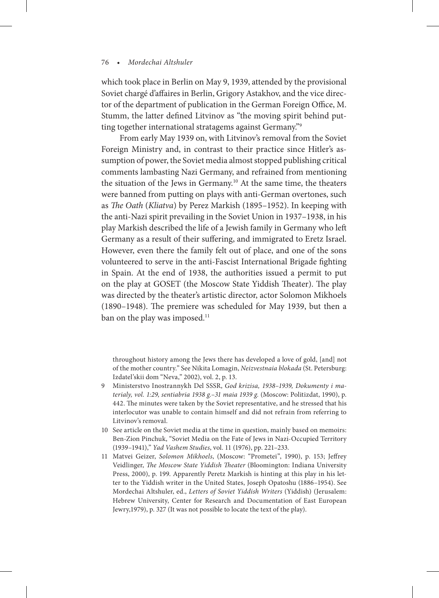which took place in Berlin on May 9, 1939, attended by the provisional Soviet chargé d'affaires in Berlin, Grigory Astakhov, and the vice director of the department of publication in the German Foreign Office, M. Stumm, the latter defined Litvinov as "the moving spirit behind putting together international stratagems against Germany."<sup>9</sup>

From early May 1939 on, with Litvinov's removal from the Soviet Foreign Ministry and, in contrast to their practice since Hitler's assumption of power, the Soviet media almost stopped publishing critical comments lambasting Nazi Germany, and refrained from mentioning the situation of the Jews in Germany.<sup>10</sup> At the same time, the theaters were banned from putting on plays with anti-German overtones, such as *The Oath* (*Kliatva*) by Perez Markish (1895–1952). In keeping with the anti-Nazi spirit prevailing in the Soviet Union in 1937–1938, in his play Markish described the life of a Jewish family in Germany who left Germany as a result of their suffering, and immigrated to Eretz Israel. However, even there the family felt out of place, and one of the sons volunteered to serve in the anti-Fascist International Brigade fighting in Spain. At the end of 1938, the authorities issued a permit to put on the play at GOSET (the Moscow State Yiddish Theater). The play was directed by the theater's artistic director, actor Solomon Mikhoels (1890–1948). The premiere was scheduled for May 1939, but then a ban on the play was imposed.<sup>11</sup>

throughout history among the Jews there has developed a love of gold, [and] not of the mother country." See Nikita Lomagin, *Neizvestnaia blokada* (St. Petersburg: Izdatel'skii dom "Neva," 2002), vol. 2, p. 13.

- 9 Ministerstvo Inostrannykh Del SSSR, *God krizisa, 1938–1939, Dokumenty i materialy, vol. 1:29, sentiabria 1938 g.–31 maia 1939 g.* (Moscow: Politizdat, 1990), p. 442. The minutes were taken by the Soviet representative, and he stressed that his interlocutor was unable to contain himself and did not refrain from referring to Litvinov's removal.
- 10 See article on the Soviet media at the time in question, mainly based on memoirs: Ben-Zion Pinchuk, "Soviet Media on the Fate of Jews in Nazi-Occupied Territory (1939–1941)," *Yad Vashem Studies*, vol. 11 (1976), pp. 221–233.
- 11 Matvei Geizer, *Solomon Mikhoels*, (Moscow: "Prometei", 1990), p. 153; Jeffrey Veidlinger, *The Moscow State Yiddish Theater* (Bloomington: Indiana University Press, 2000), p. 199. Apparently Peretz Markish is hinting at this play in his letter to the Yiddish writer in the United States, Joseph Opatoshu (1886–1954). See Mordechai Altshuler, ed., *Letters of Soviet Yiddish Writers* (Yiddish) (Jerusalem: Hebrew University, Center for Research and Documentation of East European Jewry,1979), p. 327 (It was not possible to locate the text of the play).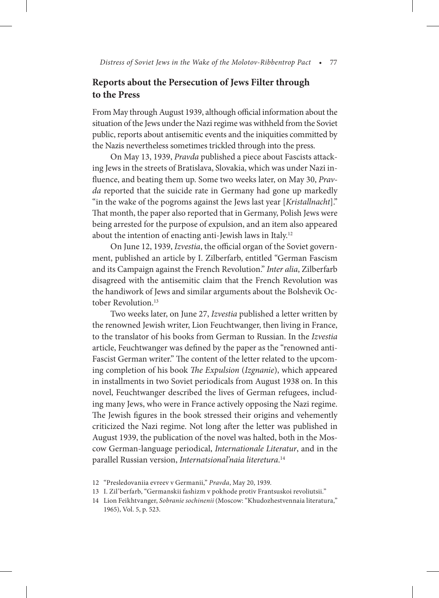### **Reports about the Persecution of Jews Filter through to the Press**

From May through August 1939, although official information about the situation of the Jews under the Nazi regime was withheld from the Soviet public, reports about antisemitic events and the iniquities committed by the Nazis nevertheless sometimes trickled through into the press.

On May 13, 1939, *Pravda* published a piece about Fascists attacking Jews in the streets of Bratislava, Slovakia, which was under Nazi influence, and beating them up. Some two weeks later, on May 30, *Pravda* reported that the suicide rate in Germany had gone up markedly "in the wake of the pogroms against the Jews last year [*Kristallnacht*]." That month, the paper also reported that in Germany, Polish Jews were being arrested for the purpose of expulsion, and an item also appeared about the intention of enacting anti-Jewish laws in Italy.12

On June 12, 1939, *Izvestia*, the official organ of the Soviet government, published an article by I. Zilberfarb, entitled "German Fascism and its Campaign against the French Revolution." *Inter alia*, Zilberfarb disagreed with the antisemitic claim that the French Revolution was the handiwork of Jews and similar arguments about the Bolshevik October Revolution.<sup>13</sup>

Two weeks later, on June 27, *Izvestia* published a letter written by the renowned Jewish writer, Lion Feuchtwanger, then living in France, to the translator of his books from German to Russian. In the *Izvestia* article, Feuchtwanger was defined by the paper as the "renowned anti-Fascist German writer." The content of the letter related to the upcoming completion of his book *The Expulsion* (*Izgnanie*), which appeared in installments in two Soviet periodicals from August 1938 on. In this novel, Feuchtwanger described the lives of German refugees, including many Jews, who were in France actively opposing the Nazi regime. The Jewish figures in the book stressed their origins and vehemently criticized the Nazi regime. Not long after the letter was published in August 1939, the publication of the novel was halted, both in the Moscow German-language periodical, *Internationale Literatur*, and in the parallel Russian version, *Internatsional'naia literetura*. 14

<sup>12 &</sup>quot;Presledovaniia evreev v Germanii," *Pravda*, May 20, 1939.

<sup>13</sup> I. Zil'berfarb, "Germanskii fashizm v pokhode protiv Frantsuskoi revoliutsii."

<sup>14</sup> Lion Feikhtvanger, *Sobranie sochinenii* (Moscow: "Khudozhestvennaia literatura," 1965), Vol. 5, p. 523.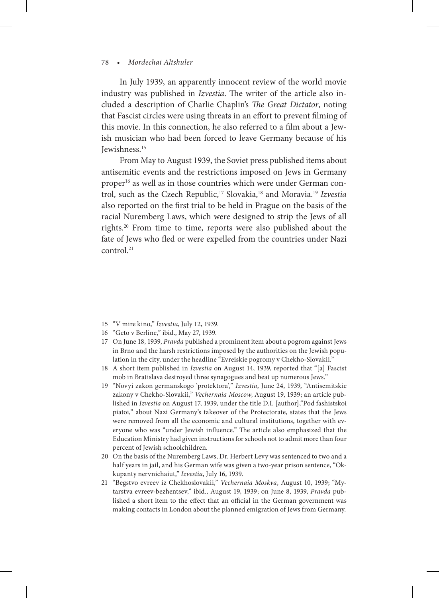In July 1939, an apparently innocent review of the world movie industry was published in *Izvestia*. The writer of the article also included a description of Charlie Chaplin's *The Great Dictator*, noting that Fascist circles were using threats in an effort to prevent filming of this movie. In this connection, he also referred to a film about a Jewish musician who had been forced to leave Germany because of his Jewishness.15

From May to August 1939, the Soviet press published items about antisemitic events and the restrictions imposed on Jews in Germany proper16 as well as in those countries which were under German control, such as the Czech Republic,17 Slovakia,18 and Moravia.19 *Izvestia* also reported on the first trial to be held in Prague on the basis of the racial Nuremberg Laws, which were designed to strip the Jews of all rights.20 From time to time, reports were also published about the fate of Jews who fled or were expelled from the countries under Nazi control.<sup>21</sup>

- 15 "V mire kino," *Izvestia*, July 12, 1939.
- 16 "Geto v Berline," ibid., May 27, 1939.
- 17 On June 18, 1939, *Pravda* published a prominent item about a pogrom against Jews in Brno and the harsh restrictions imposed by the authorities on the Jewish population in the city, under the headline "Evreiskie pogromy v Chekho-Slovakii."
- 18 A short item published in *Izvestia* on August 14, 1939, reported that "[a] Fascist mob in Bratislava destroyed three synagogues and beat up numerous Jews."
- 19 "Novyi zakon germanskogo 'protektora'," *Izvestia*, June 24, 1939, "Antisemitskie zakony v Chekho-Slovakii," *Vechernaia Moscow*, August 19, 1939; an article published in *Izvestia* on August 17, 1939, under the title D.I. [author],"Pod fashistskoi piatoi," about Nazi Germany's takeover of the Protectorate, states that the Jews were removed from all the economic and cultural institutions, together with everyone who was "under Jewish influence." The article also emphasized that the Education Ministry had given instructions for schools not to admit more than four percent of Jewish schoolchildren.
- 20 On the basis of the Nuremberg Laws, Dr. Herbert Levy was sentenced to two and a half years in jail, and his German wife was given a two-year prison sentence, "Okkupanty nervnichaiut," *Izvestia*, July 16, 1939.
- 21 "Begstvo evreev iz Chekhoslovakii," *Vechernaia Moskva*, August 10, 1939; "Mytarstva evreev-bezhentsev," ibid., August 19, 1939; on June 8, 1939, *Pravda* published a short item to the effect that an official in the German government was making contacts in London about the planned emigration of Jews from Germany.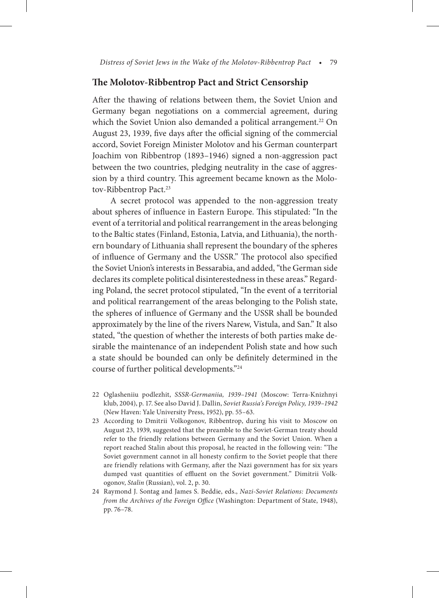### **The Molotov-Ribbentrop Pact and Strict Censorship**

After the thawing of relations between them, the Soviet Union and Germany began negotiations on a commercial agreement, during which the Soviet Union also demanded a political arrangement.<sup>22</sup> On August 23, 1939, five days after the official signing of the commercial accord, Soviet Foreign Minister Molotov and his German counterpart Joachim von Ribbentrop (1893–1946) signed a non-aggression pact between the two countries, pledging neutrality in the case of aggression by a third country. This agreement became known as the Molotov-Ribbentrop Pact.<sup>23</sup>

A secret protocol was appended to the non-aggression treaty about spheres of influence in Eastern Europe. This stipulated: "In the event of a territorial and political rearrangement in the areas belonging to the Baltic states (Finland, Estonia, Latvia, and Lithuania), the northern boundary of Lithuania shall represent the boundary of the spheres of influence of Germany and the USSR." The protocol also specified the Soviet Union's interests in Bessarabia, and added, "the German side declares its complete political disinterestedness in these areas." Regarding Poland, the secret protocol stipulated, "In the event of a territorial and political rearrangement of the areas belonging to the Polish state, the spheres of influence of Germany and the USSR shall be bounded approximately by the line of the rivers Narew, Vistula, and San." It also stated, "the question of whether the interests of both parties make desirable the maintenance of an independent Polish state and how such a state should be bounded can only be definitely determined in the course of further political developments."24

- 22 Oglasheniiu podlezhit, *SSSR-Germaniia, 1939–1941* (Moscow: Terra-Knizhnyi klub, 2004), p. 17. See also David J. Dallin, *Soviet Russia's Foreign Policy, 1939–1942*  (New Haven: Yale University Press, 1952), pp. 55–63.
- 23 According to Dmitrii Volkogonov, Ribbentrop, during his visit to Moscow on August 23, 1939, suggested that the preamble to the Soviet-German treaty should refer to the friendly relations between Germany and the Soviet Union. When a report reached Stalin about this proposal, he reacted in the following vein: "The Soviet government cannot in all honesty confirm to the Soviet people that there are friendly relations with Germany, after the Nazi government has for six years dumped vast quantities of effluent on the Soviet government." Dimitrii Volkogonov, *Stalin* (Russian), vol. 2, p. 30.
- 24 Raymond J. Sontag and James S. Beddie, eds., *Nazi-Soviet Relations: Documents from the Archives of the Foreign Office* (Washington: Department of State, 1948), pp. 76–78.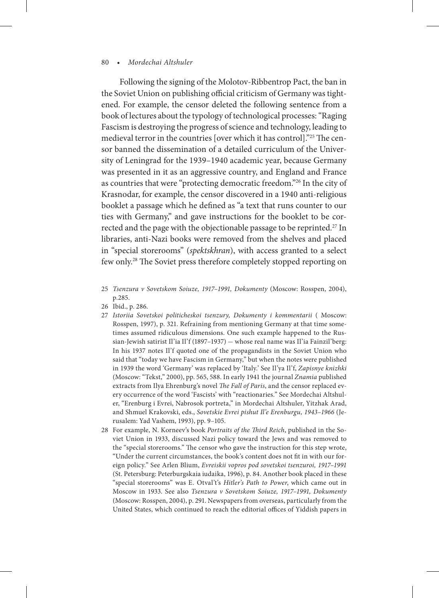Following the signing of the Molotov-Ribbentrop Pact, the ban in the Soviet Union on publishing official criticism of Germany was tightened. For example, the censor deleted the following sentence from a book of lectures about the typology of technological processes: "Raging Fascism is destroying the progress of science and technology, leading to medieval terror in the countries [over which it has control]."25 The censor banned the dissemination of a detailed curriculum of the University of Leningrad for the 1939–1940 academic year, because Germany was presented in it as an aggressive country, and England and France as countries that were "protecting democratic freedom."26 In the city of Krasnodar, for example, the censor discovered in a 1940 anti-religious booklet a passage which he defined as "a text that runs counter to our ties with Germany," and gave instructions for the booklet to be corrected and the page with the objectionable passage to be reprinted.<sup>27</sup> In libraries, anti-Nazi books were removed from the shelves and placed in "special storerooms" (*spektskhran*), with access granted to a select few only.28 The Soviet press therefore completely stopped reporting on

- 25 *Tsenzura v Sovetskom Soiuze, 1917–1991, Dokumenty* (Moscow: Rosspen, 2004), p.285.
- 26 Ibid., p. 286.
- 27 *Istoriia Sovetskoi politicheskoi tsenzury, Dokumenty i kommentarii* ( Moscow: Rosspen, 1997), p. 321. Refraining from mentioning Germany at that time sometimes assumed ridiculous dimensions. One such example happened to the Russian-Jewish satirist Il'ia Il'f (1897–1937) — whose real name was Il'ia Fainzil'berg: In his 1937 notes Il'f quoted one of the propagandists in the Soviet Union who said that "today we have Fascism in Germany," but when the notes were published in 1939 the word 'Germany' was replaced by 'Italy.' See Il'ya Il'f, *Zapisnye knizhki*  (Moscow: "Tekst," 2000), pp. 565, 588. In early 1941 the journal *Znamia* published extracts from Ilya Ehrenburg's novel *The Fall of Paris*, and the censor replaced every occurrence of the word 'Fascists' with "reactionaries." See Mordechai Altshuler, "Erenburg i Evrei, Nabrosok portreta," in Mordechai Altshuler, Yitzhak Arad, and Shmuel Krakovski, eds., *Sovetskie Evrei pishut Il'e Erenburgu, 1943–1966* (Jerusalem: Yad Vashem, 1993), pp. 9–105.
- 28 For example, N. Korneev's book *Portraits of the Third Reich*, published in the Soviet Union in 1933, discussed Nazi policy toward the Jews and was removed to the "special storerooms." The censor who gave the instruction for this step wrote, "Under the current circumstances, the book's content does not fit in with our foreign policy." See Arlen Blium, *Evreiskii vopros pod sovetskoi tsenzuroi, 1917–1991* (St. Petersburg: Peterburgskaia iudaika, 1996), p. 84. Another book placed in these "special storerooms" was E. Otval't's *Hitler's Path to Power*, which came out in Moscow in 1933. See also *Tsenzura v Sovetskom Soiuze, 1917–1991, Dokumenty*  (Moscow: Rosspen, 2004), p. 291. Newspapers from overseas, particularly from the United States, which continued to reach the editorial offices of Yiddish papers in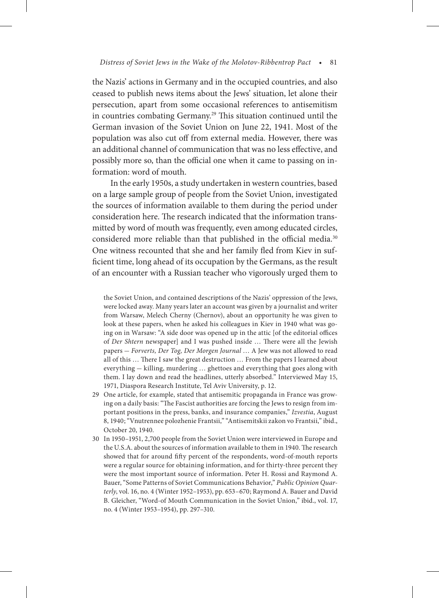the Nazis' actions in Germany and in the occupied countries, and also ceased to publish news items about the Jews' situation, let alone their persecution, apart from some occasional references to antisemitism in countries combating Germany.29 This situation continued until the German invasion of the Soviet Union on June 22, 1941. Most of the population was also cut off from external media. However, there was an additional channel of communication that was no less effective, and possibly more so, than the official one when it came to passing on information: word of mouth.

In the early 1950s, a study undertaken in western countries, based on a large sample group of people from the Soviet Union, investigated the sources of information available to them during the period under consideration here. The research indicated that the information transmitted by word of mouth was frequently, even among educated circles, considered more reliable than that published in the official media.<sup>30</sup> One witness recounted that she and her family fled from Kiev in sufficient time, long ahead of its occupation by the Germans, as the result of an encounter with a Russian teacher who vigorously urged them to

the Soviet Union, and contained descriptions of the Nazis' oppression of the Jews, were locked away. Many years later an account was given by a journalist and writer from Warsaw, Melech Cherny (Chernov), about an opportunity he was given to look at these papers, when he asked his colleagues in Kiev in 1940 what was going on in Warsaw: "A side door was opened up in the attic [of the editorial offices of *Der Shtern* newspaper] and I was pushed inside … There were all the Jewish papers — *Forverts, Der Tog, Der Morgen Journal* … A Jew was not allowed to read all of this … There I saw the great destruction … From the papers I learned about everything — killing, murdering … ghettoes and everything that goes along with them. I lay down and read the headlines, utterly absorbed." Interviewed May 15, 1971, Diaspora Research Institute, Tel Aviv University, p. 12.

- 29 One article, for example, stated that antisemitic propaganda in France was growing on a daily basis: "The Fascist authorities are forcing the Jews to resign from important positions in the press, banks, and insurance companies," *Izvestia*, August 8, 1940; "Vnutrennee polozhenie Frantsii," "Antisemitskii zakon vo Frantsii," ibid., October 20, 1940.
- 30 In 1950–1951, 2,700 people from the Soviet Union were interviewed in Europe and the U.S.A. about the sources of information available to them in 1940. The research showed that for around fifty percent of the respondents, word-of-mouth reports were a regular source for obtaining information, and for thirty-three percent they were the most important source of information. Peter H. Rossi and Raymond A. Bauer, "Some Patterns of Soviet Communications Behavior," *Public Opinion Quarterly*, vol. 16, no. 4 (Winter 1952–1953), pp. 653–670; Raymond A. Bauer and David B. Gleicher, "Word-of Mouth Communication in the Soviet Union," ibid., vol. 17, no. 4 (Winter 1953–1954), pp. 297–310.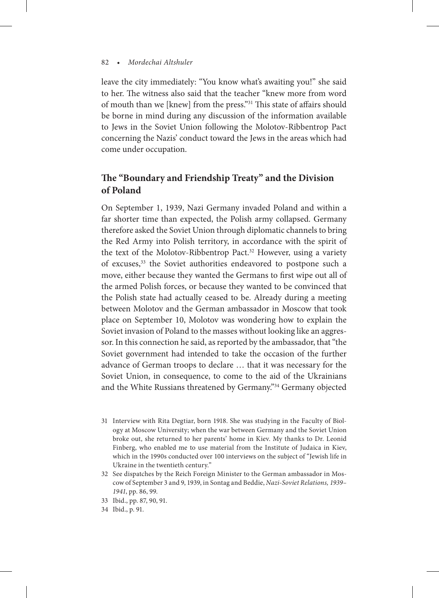leave the city immediately: "You know what's awaiting you!" she said to her. The witness also said that the teacher "knew more from word of mouth than we [knew] from the press."31 This state of affairs should be borne in mind during any discussion of the information available to Jews in the Soviet Union following the Molotov-Ribbentrop Pact concerning the Nazis' conduct toward the Jews in the areas which had come under occupation.

## **The "Boundary and Friendship Treaty" and the Division of Poland**

On September 1, 1939, Nazi Germany invaded Poland and within a far shorter time than expected, the Polish army collapsed. Germany therefore asked the Soviet Union through diplomatic channels to bring the Red Army into Polish territory, in accordance with the spirit of the text of the Molotov-Ribbentrop Pact.<sup>32</sup> However, using a variety of excuses,<sup>33</sup> the Soviet authorities endeavored to postpone such a move, either because they wanted the Germans to first wipe out all of the armed Polish forces, or because they wanted to be convinced that the Polish state had actually ceased to be. Already during a meeting between Molotov and the German ambassador in Moscow that took place on September 10, Molotov was wondering how to explain the Soviet invasion of Poland to the masses without looking like an aggressor. In this connection he said, as reported by the ambassador, that "the Soviet government had intended to take the occasion of the further advance of German troops to declare … that it was necessary for the Soviet Union, in consequence, to come to the aid of the Ukrainians and the White Russians threatened by Germany."34 Germany objected

- 31 Interview with Rita Degtiar, born 1918. She was studying in the Faculty of Biology at Moscow University; when the war between Germany and the Soviet Union broke out, she returned to her parents' home in Kiev. My thanks to Dr. Leonid Finberg, who enabled me to use material from the Institute of Judaica in Kiev, which in the 1990s conducted over 100 interviews on the subject of "Jewish life in Ukraine in the twentieth century."
- 32 See dispatches by the Reich Foreign Minister to the German ambassador in Moscow of September 3 and 9, 1939, in Sontag and Beddie, *Nazi-Soviet Relations, 1939– 1941*, pp. 86, 99.
- 33 Ibid., pp. 87, 90, 91.
- 34 Ibid., p. 91.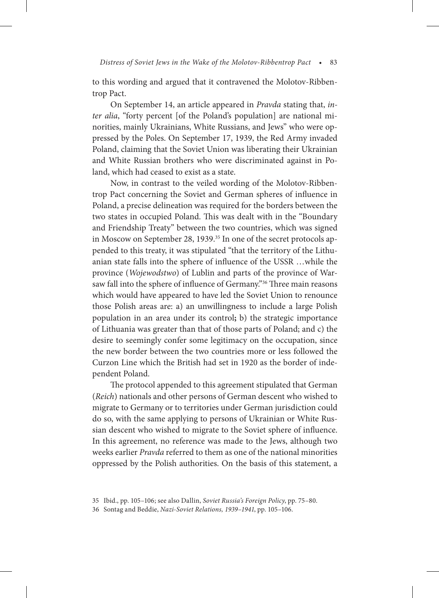to this wording and argued that it contravened the Molotov-Ribbentrop Pact.

On September 14, an article appeared in *Pravda* stating that, *inter alia*, "forty percent [of the Poland's population] are national minorities, mainly Ukrainians, White Russians, and Jews" who were oppressed by the Poles. On September 17, 1939, the Red Army invaded Poland, claiming that the Soviet Union was liberating their Ukrainian and White Russian brothers who were discriminated against in Poland, which had ceased to exist as a state.

Now, in contrast to the veiled wording of the Molotov-Ribbentrop Pact concerning the Soviet and German spheres of influence in Poland, a precise delineation was required for the borders between the two states in occupied Poland. This was dealt with in the "Boundary and Friendship Treaty" between the two countries, which was signed in Moscow on September 28, 1939.<sup>35</sup> In one of the secret protocols appended to this treaty, it was stipulated "that the territory of the Lithuanian state falls into the sphere of influence of the USSR …while the province (*Wojewodstwo*) of Lublin and parts of the province of Warsaw fall into the sphere of influence of Germany."36 Three main reasons which would have appeared to have led the Soviet Union to renounce those Polish areas are: a) an unwillingness to include a large Polish population in an area under its control**;** b) the strategic importance of Lithuania was greater than that of those parts of Poland; and c) the desire to seemingly confer some legitimacy on the occupation, since the new border between the two countries more or less followed the Curzon Line which the British had set in 1920 as the border of independent Poland.

The protocol appended to this agreement stipulated that German (*Reich*) nationals and other persons of German descent who wished to migrate to Germany or to territories under German jurisdiction could do so, with the same applying to persons of Ukrainian or White Russian descent who wished to migrate to the Soviet sphere of influence. In this agreement, no reference was made to the Jews, although two weeks earlier *Pravda* referred to them as one of the national minorities oppressed by the Polish authorities. On the basis of this statement, a

<sup>35</sup> Ibid., pp. 105–106; see also Dallin, *Soviet Russia's Foreign Policy*, pp. 75–80.

<sup>36</sup> Sontag and Beddie, *Nazi-Soviet Relations, 1939–1941*, pp. 105–106.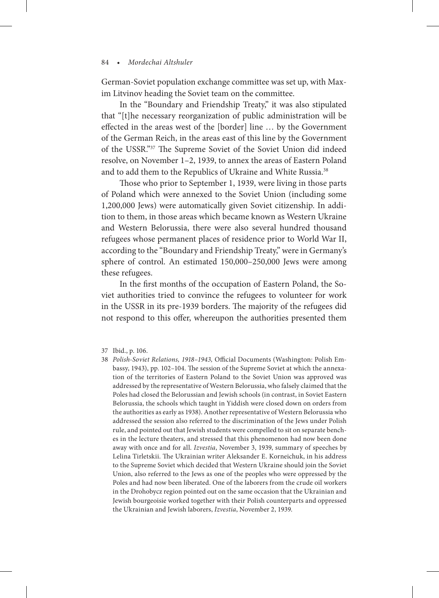German-Soviet population exchange committee was set up, with Maxim Litvinov heading the Soviet team on the committee.

In the "Boundary and Friendship Treaty," it was also stipulated that "[t]he necessary reorganization of public administration will be effected in the areas west of the [border] line … by the Government of the German Reich, in the areas east of this line by the Government of the USSR."37 The Supreme Soviet of the Soviet Union did indeed resolve, on November 1–2, 1939, to annex the areas of Eastern Poland and to add them to the Republics of Ukraine and White Russia.38

Those who prior to September 1, 1939, were living in those parts of Poland which were annexed to the Soviet Union (including some 1,200,000 Jews) were automatically given Soviet citizenship. In addition to them, in those areas which became known as Western Ukraine and Western Belorussia, there were also several hundred thousand refugees whose permanent places of residence prior to World War II, according to the "Boundary and Friendship Treaty," were in Germany's sphere of control. An estimated 150,000–250,000 Jews were among these refugees.

In the first months of the occupation of Eastern Poland, the Soviet authorities tried to convince the refugees to volunteer for work in the USSR in its pre-1939 borders. The majority of the refugees did not respond to this offer, whereupon the authorities presented them

38 *Polish-Soviet Relations, 1918–1943,* Official Documents (Washington: Polish Embassy, 1943), pp. 102–104. The session of the Supreme Soviet at which the annexation of the territories of Eastern Poland to the Soviet Union was approved was addressed by the representative of Western Belorussia, who falsely claimed that the Poles had closed the Belorussian and Jewish schools (in contrast, in Soviet Eastern Belorussia, the schools which taught in Yiddish were closed down on orders from the authorities as early as 1938). Another representative of Western Belorussia who addressed the session also referred to the discrimination of the Jews under Polish rule, and pointed out that Jewish students were compelled to sit on separate benches in the lecture theaters, and stressed that this phenomenon had now been done away with once and for all. *Izvestia*, November 3, 1939, summary of speeches by Lelina Tirletskii. The Ukrainian writer Aleksander E. Korneichuk, in his address to the Supreme Soviet which decided that Western Ukraine should join the Soviet Union, also referred to the Jews as one of the peoples who were oppressed by the Poles and had now been liberated. One of the laborers from the crude oil workers in the Drohobycz region pointed out on the same occasion that the Ukrainian and Jewish bourgeoisie worked together with their Polish counterparts and oppressed the Ukrainian and Jewish laborers, *Izvestia*, November 2, 1939.

<sup>37</sup> Ibid., p. 106.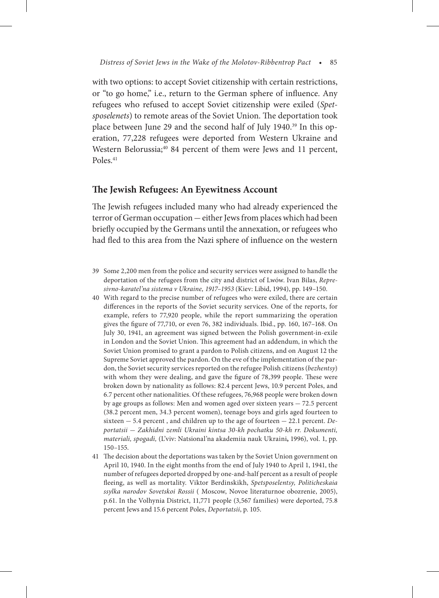with two options: to accept Soviet citizenship with certain restrictions, or "to go home," i.e., return to the German sphere of influence. Any refugees who refused to accept Soviet citizenship were exiled (*Spetsposelenets*) to remote areas of the Soviet Union. The deportation took place between June 29 and the second half of July 1940.<sup>39</sup> In this operation, 77,228 refugees were deported from Western Ukraine and Western Belorussia;<sup>40</sup> 84 percent of them were Jews and 11 percent, Poles.<sup>41</sup>

### **The Jewish Refugees: An Eyewitness Account**

The Jewish refugees included many who had already experienced the terror of German occupation — either Jews from places which had been briefly occupied by the Germans until the annexation, or refugees who had fled to this area from the Nazi sphere of influence on the western

- 39 Some 2,200 men from the police and security services were assigned to handle the deportation of the refugees from the city and district of Lwów. Ivan Bilas, *Represivno-karatel'na sistema v Ukraine, 1917–1953* (Kiev: Libid, 1994), pp. 149–150.
- 40 With regard to the precise number of refugees who were exiled, there are certain differences in the reports of the Soviet security services. One of the reports, for example, refers to 77,920 people, while the report summarizing the operation gives the figure of 77,710, or even 76, 382 individuals. Ibid., pp. 160, 167–168. On July 30, 1941, an agreement was signed between the Polish government-in-exile in London and the Soviet Union. This agreement had an addendum, in which the Soviet Union promised to grant a pardon to Polish citizens, and on August 12 the Supreme Soviet approved the pardon. On the eve of the implementation of the pardon, the Soviet security services reported on the refugee Polish citizens (*bezhentsy*) with whom they were dealing, and gave the figure of 78,399 people. These were broken down by nationality as follows: 82.4 percent Jews, 10.9 percent Poles, and 6.7 percent other nationalities. Of these refugees, 76,968 people were broken down by age groups as follows: Men and women aged over sixteen years — 72.5 percent (38.2 percent men, 34.3 percent women), teenage boys and girls aged fourteen to sixteen — 5.4 percent , and children up to the age of fourteen — 22.1 percent. *Deportatsii* — *Zakhidni zemli Ukraini kintsa 30-kh pochatku 50-kh rr. Dokumenti, materiali, spogadi,* (L'viv: Natsional'na akademiia nauk Ukraini**,** 1996), vol. 1, pp. 150–155.
- 41 The decision about the deportations was taken by the Soviet Union government on April 10, 1940. In the eight months from the end of July 1940 to April 1, 1941, the number of refugees deported dropped by one-and-half percent as a result of people fleeing, as well as mortality. Viktor Berdinskikh, *Spetsposelentsy, Politicheskaia ssylka narodov Sovetskoi Rossii* ( Moscow, Novoe literaturnoe obozrenie, 2005), p.61. In the Volhynia District, 11,771 people (3,567 families) were deported, 75.8 percent Jews and 15.6 percent Poles, *Deportatsii*, p. 105.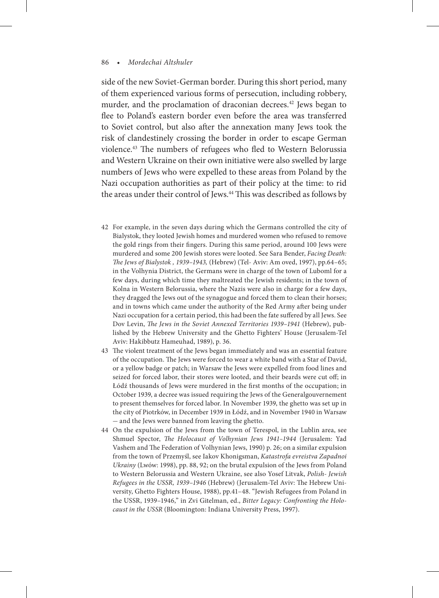side of the new Soviet-German border. During this short period, many of them experienced various forms of persecution, including robbery, murder, and the proclamation of draconian decrees.<sup>42</sup> Jews began to flee to Poland's eastern border even before the area was transferred to Soviet control, but also after the annexation many Jews took the risk of clandestinely crossing the border in order to escape German violence.43 The numbers of refugees who fled to Western Belorussia and Western Ukraine on their own initiative were also swelled by large numbers of Jews who were expelled to these areas from Poland by the Nazi occupation authorities as part of their policy at the time: to rid the areas under their control of Jews.<sup>44</sup> This was described as follows by

- 42 For example, in the seven days during which the Germans controlled the city of Bialystok, they looted Jewish homes and murdered women who refused to remove the gold rings from their fingers. During this same period, around 100 Jews were murdered and some 200 Jewish stores were looted. See Sara Bender, *Facing Death: The Jews of Bialystok , 1939–1943,* (Hebrew) (Tel- Aviv: Am oved, 1997), pp.64–65; in the Volhynia District, the Germans were in charge of the town of Luboml for a few days, during which time they maltreated the Jewish residents; in the town of Kolna in Western Belorussia, where the Nazis were also in charge for a few days, they dragged the Jews out of the synagogue and forced them to clean their horses; and in towns which came under the authority of the Red Army after being under Nazi occupation for a certain period, this had been the fate suffered by all Jews. See Dov Levin, *The Jews in the Soviet Annexed Territories 1939–1941* (Hebrew), published by the Hebrew University and the Ghetto Fighters' House (Jerusalem-Tel Aviv: Hakibbutz Hameuhad, 1989), p. 36.
- 43 The violent treatment of the Jews began immediately and was an essential feature of the occupation. The Jews were forced to wear a white band with a Star of David, or a yellow badge or patch; in Warsaw the Jews were expelled from food lines and seized for forced labor, their stores were looted, and their beards were cut off; in Łódź thousands of Jews were murdered in the first months of the occupation; in October 1939, a decree was issued requiring the Jews of the Generalgouvernement to present themselves for forced labor. In November 1939, the ghetto was set up in the city of Piotrków, in December 1939 in Łódź, and in November 1940 in Warsaw — and the Jews were banned from leaving the ghetto.
- 44 On the expulsion of the Jews from the town of Terespol, in the Lublin area, see Shmuel Spector, *The Holocaust of Volhynian Jews 1941–1944* (Jerusalem: Yad Vashem and The Federation of Volhynian Jews, 1990) p. 26; on a similar expulsion from the town of Przemyśl, see Iakov Khonigsman, *Katastrofa evreistva Zapadnoi Ukrainy* (Lwów: 1998), pp. 88, 92; on the brutal expulsion of the Jews from Poland to Western Belorussia and Western Ukraine, see also Yosef Litvak, *Polish- Jewish Refugees in the USSR, 1939–1946* (Hebrew) (Jerusalem-Tel Aviv: The Hebrew University, Ghetto Fighters House, 1988), pp.41–48. "Jewish Refugees from Poland in the USSR, 1939–1946," in Zvi Gitelman, ed., *Bitter Legacy: Confronting the Holocaust in the USSR* (Bloomington: Indiana University Press, 1997).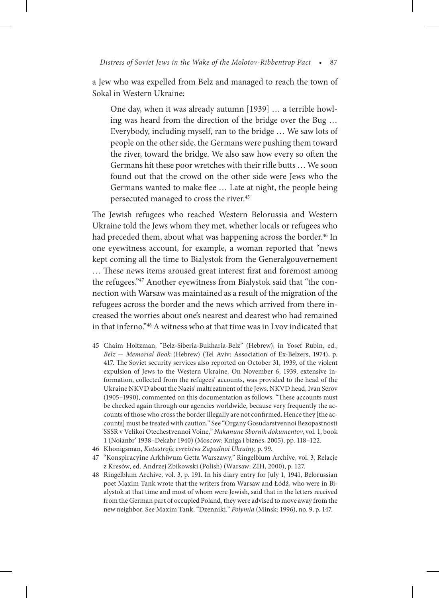a Jew who was expelled from Belz and managed to reach the town of Sokal in Western Ukraine:

One day, when it was already autumn [1939] … a terrible howling was heard from the direction of the bridge over the Bug … Everybody, including myself, ran to the bridge … We saw lots of people on the other side, the Germans were pushing them toward the river, toward the bridge. We also saw how every so often the Germans hit these poor wretches with their rifle butts … We soon found out that the crowd on the other side were Jews who the Germans wanted to make flee … Late at night, the people being persecuted managed to cross the river.45

The Jewish refugees who reached Western Belorussia and Western Ukraine told the Jews whom they met, whether locals or refugees who had preceded them, about what was happening across the border.<sup>46</sup> In one eyewitness account, for example, a woman reported that "news kept coming all the time to Bialystok from the Generalgouvernement … These news items aroused great interest first and foremost among the refugees."47 Another eyewitness from Bialystok said that "the connection with Warsaw was maintained as a result of the migration of the refugees across the border and the news which arrived from there increased the worries about one's nearest and dearest who had remained in that inferno."48 A witness who at that time was in Lvov indicated that

- 45 Chaim Holtzman, "Belz-Siberia-Bukharia-Belz" (Hebrew), in Yosef Rubin, ed., *Belz* — *Memorial Book* (Hebrew) (Tel Aviv: Association of Ex-Belzers, 1974), p. 417. The Soviet security services also reported on October 31, 1939, of the violent expulsion of Jews to the Western Ukraine. On November 6, 1939, extensive information, collected from the refugees' accounts, was provided to the head of the Ukraine NKVD about the Nazis' maltreatment of the Jews. NKVD head, Ivan Serov (1905–1990), commented on this documentation as follows: "These accounts must be checked again through our agencies worldwide, because very frequently the accounts of those who cross the border illegally are not confirmed. Hence they [the accounts] must be treated with caution." See "Organy Gosudarstvennoi Bezopastnosti SSSR v Velikoi Otechestvennoi Voine," *Nakanune Sbornik dokumentov*, vol. 1, book 1 (Noianbr' 1938–Dekabr 1940) (Moscow: Kniga i biznes, 2005), pp. 118–122.
- 46 Khonigsman, *Katastrofa evreistva Zapadnoi Ukrainy*, p. 99.
- 47 "Konspiracyine Arkhiwum Getta Warszawy," Ringelblum Archive, vol. 3, Relacje z Kresów, ed. Andrzej Zbikowski (Polish) (Warsaw: ZIH, 2000), p. 127.
- 48 Ringelblum Archive, vol. 3, p. 191. In his diary entry for July 1, 1941, Belorussian poet Maxim Tank wrote that the writers from Warsaw and Łódź, who were in Bialystok at that time and most of whom were Jewish, said that in the letters received from the German part of occupied Poland, they were advised to move away from the new neighbor. See Maxim Tank, "Dzenniki." *Polymia* (Minsk: 1996), no. 9, p. 147.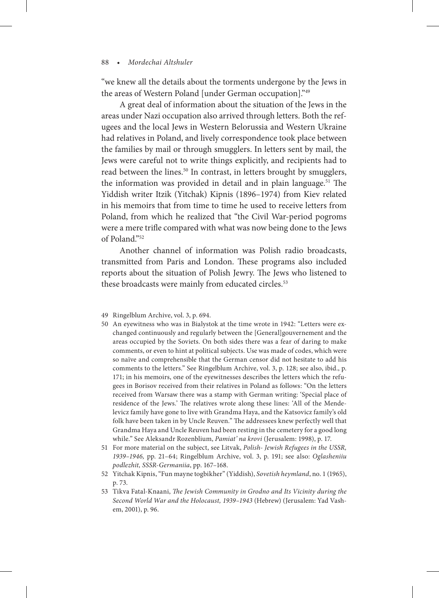"we knew all the details about the torments undergone by the Jews in the areas of Western Poland [under German occupation]."49

A great deal of information about the situation of the Jews in the areas under Nazi occupation also arrived through letters. Both the refugees and the local Jews in Western Belorussia and Western Ukraine had relatives in Poland, and lively correspondence took place between the families by mail or through smugglers. In letters sent by mail, the Jews were careful not to write things explicitly, and recipients had to read between the lines.<sup>50</sup> In contrast, in letters brought by smugglers, the information was provided in detail and in plain language.<sup>51</sup> The Yiddish writer Itzik (Yitchak) Kipnis (1896–1974) from Kiev related in his memoirs that from time to time he used to receive letters from Poland, from which he realized that "the Civil War-period pogroms were a mere trifle compared with what was now being done to the Jews of Poland."52

Another channel of information was Polish radio broadcasts, transmitted from Paris and London. These programs also included reports about the situation of Polish Jewry. The Jews who listened to these broadcasts were mainly from educated circles.<sup>53</sup>

- 50 An eyewitness who was in Bialystok at the time wrote in 1942: "Letters were exchanged continuously and regularly between the [General]gouvernement and the areas occupied by the Soviets. On both sides there was a fear of daring to make comments, or even to hint at political subjects. Use was made of codes, which were so naïve and comprehensible that the German censor did not hesitate to add his comments to the letters." See Ringelblum Archive, vol. 3, p. 128; see also, ibid., p. 171; in his memoirs, one of the eyewitnesses describes the letters which the refugees in Borisov received from their relatives in Poland as follows: "On the letters received from Warsaw there was a stamp with German writing: 'Special place of residence of the Jews.' The relatives wrote along these lines: 'All of the Mendelevicz family have gone to live with Grandma Haya, and the Katsovicz family's old folk have been taken in by Uncle Reuven." The addressees knew perfectly well that Grandma Haya and Uncle Reuven had been resting in the cemetery for a good long while." See Aleksandr Rozenblium, *Pamiat' na krovi* (Jerusalem: 1998), p. 17.
- 51 For more material on the subject, see Litvak, *Polish- Jewish Refugees in the USSR, 1939–1946,* pp. 21–64; Ringelblum Archive, vol. 3, p. 191; see also: *Oglasheniiu podlezhit, SSSR-Germaniia*, pp. 167–168.
- 52 Yitchak Kipnis, "Fun mayne togbikher" (Yiddish), *Sovetish heymland*, no. 1 (1965), p. 73.
- 53 Tikva Fatal-Knaani, *The Jewish Community in Grodno and Its Vicinity during the Second World War and the Holocaust, 1939–1943* (Hebrew) (Jerusalem: Yad Vashem, 2001), p. 96.

<sup>49</sup> Ringelblum Archive, vol. 3, p. 694.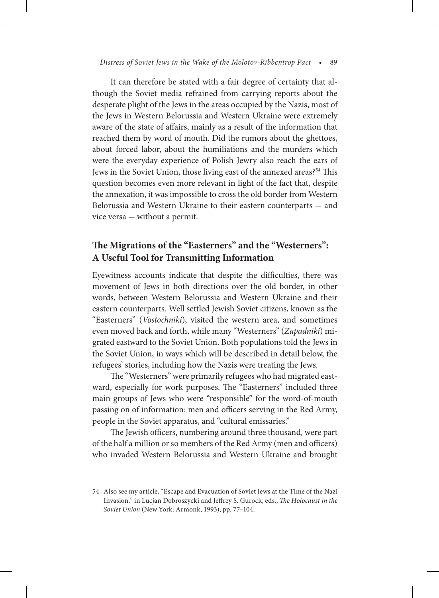#### *Distress of Soviet Jews in the Wake of the Molotov-Ribbentrop Pact* • 89

It can therefore be stated with a fair degree of certainty that although the Soviet media refrained from carrying reports about the desperate plight of the Jews in the areas occupied by the Nazis, most of the Jews in Western Belorussia and Western Ukraine were extremely aware of the state of affairs, mainly as a result of the information that reached them by word of mouth. Did the rumors about the ghettoes, about forced labor, about the humiliations and the murders which were the everyday experience of Polish Jewry also reach the ears of Jews in the Soviet Union, those living east of the annexed areas?<sup>54</sup> This question becomes even more relevant in light of the fact that, despite the annexation, it was impossible to cross the old border from Western Belorussia and Western Ukraine to their eastern counterparts — and vice versa — without a permit.

## **The Migrations of the "Easterners" and the "Westerners": A Useful Tool for Transmitting Information**

Eyewitness accounts indicate that despite the difficulties, there was movement of Jews in both directions over the old border, in other words, between Western Belorussia and Western Ukraine and their eastern counterparts. Well settled Jewish Soviet citizens, known as the "Easterners" (*Vostochniki*), visited the western area, and sometimes even moved back and forth, while many "Westerners" (*Zapadniki*) migrated eastward to the Soviet Union. Both populations told the Jews in the Soviet Union, in ways which will be described in detail below, the refugees' stories, including how the Nazis were treating the Jews.

The "Westerners" were primarily refugees who had migrated eastward, especially for work purposes. The "Easterners" included three main groups of Jews who were "responsible" for the word-of-mouth passing on of information: men and officers serving in the Red Army, people in the Soviet apparatus, and "cultural emissaries."

The Jewish officers, numbering around three thousand, were part of the half a million or so members of the Red Army (men and officers) who invaded Western Belorussia and Western Ukraine and brought

<sup>54</sup> Also see my article, "Escape and Evacuation of Soviet Jews at the Time of the Nazi Invasion," in Lucjan Dobroszycki and Jeffrey S. Gurock, eds., *The Holocaust in the Soviet Union* (New York: Armonk, 1993), pp. 77–104.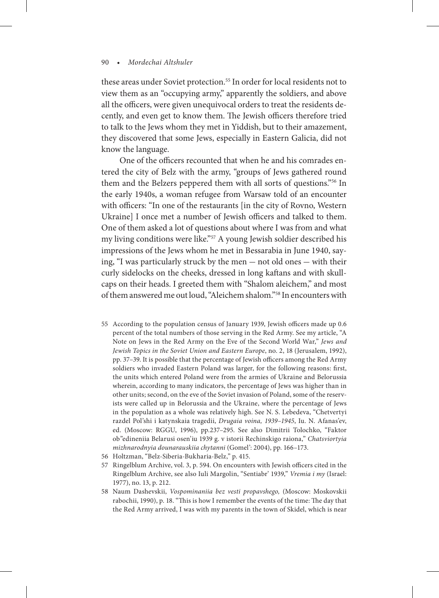these areas under Soviet protection.<sup>55</sup> In order for local residents not to view them as an "occupying army," apparently the soldiers, and above all the officers, were given unequivocal orders to treat the residents decently, and even get to know them. The Jewish officers therefore tried to talk to the Jews whom they met in Yiddish, but to their amazement, they discovered that some Jews, especially in Eastern Galicia, did not know the language.

One of the officers recounted that when he and his comrades entered the city of Belz with the army, "groups of Jews gathered round them and the Belzers peppered them with all sorts of questions."56 In the early 1940s, a woman refugee from Warsaw told of an encounter with officers: "In one of the restaurants [in the city of Rovno, Western Ukraine] I once met a number of Jewish officers and talked to them. One of them asked a lot of questions about where I was from and what my living conditions were like."57 A young Jewish soldier described his impressions of the Jews whom he met in Bessarabia in June 1940, saying, "I was particularly struck by the men — not old ones — with their curly sidelocks on the cheeks, dressed in long kaftans and with skullcaps on their heads. I greeted them with "Shalom aleichem," and most of them answered me out loud, "Aleichem shalom."58 In encounters with

- 55 According to the population census of January 1939, Jewish officers made up 0.6 percent of the total numbers of those serving in the Red Army. See my article, "A Note on Jews in the Red Army on the Eve of the Second World War," *Jews and Jewish Topics in the Soviet Union and Eastern Europe*, no. 2, 18 (Jerusalem, 1992), pp. 37–39. It is possible that the percentage of Jewish officers among the Red Army soldiers who invaded Eastern Poland was larger, for the following reasons: first, the units which entered Poland were from the armies of Ukraine and Belorussia wherein, according to many indicators, the percentage of Jews was higher than in other units; second, on the eve of the Soviet invasion of Poland, some of the reservists were called up in Belorussia and the Ukraine, where the percentage of Jews in the population as a whole was relatively high. See N. S. Lebedeva, "Chetvertyi razdel Pol'shi i katynskaia tragedii, *Drugaia voina, 1939–1945*, Iu. N. Afanas'ev, ed. (Moscow: RGGU, 1996), pp.237–295. See also Dimitrii Tolochko, "Faktor ob"edineniia Belarusi osen'iu 1939 g. v istorii Rechinskigo raiona," *Chatsviortyia mizhnarodnyia dounarauskiia chytanni* (Gomel': 2004), pp. 166–173.
- 56 Holtzman, "Belz-Siberia-Bukharia-Belz," p. 415.
- 57 Ringelblum Archive, vol. 3, p. 594. On encounters with Jewish officers cited in the Ringelblum Archive, see also Iuli Margolin, "Sentiabr' 1939," *Vremia i my* (Israel: 1977), no. 13, p. 212.
- 58 Naum Dashevskii, *Vospominaniia bez vesti propavshego,* (Moscow: Moskovskii rabochii, 1990), p. 18. "This is how I remember the events of the time: The day that the Red Army arrived, I was with my parents in the town of Skidel, which is near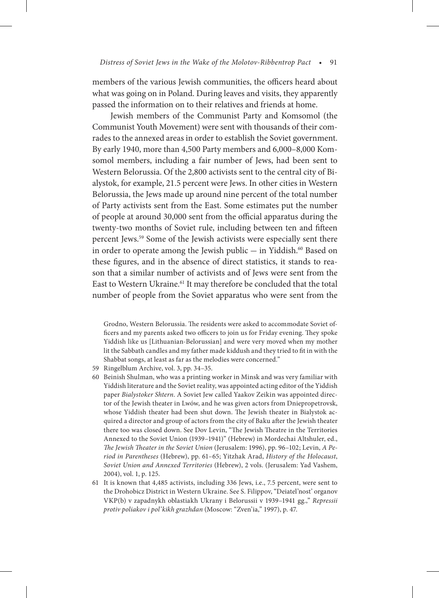members of the various Jewish communities, the officers heard about what was going on in Poland. During leaves and visits, they apparently passed the information on to their relatives and friends at home.

Jewish members of the Communist Party and Komsomol (the Communist Youth Movement) were sent with thousands of their comrades to the annexed areas in order to establish the Soviet government. By early 1940, more than 4,500 Party members and 6,000–8,000 Komsomol members, including a fair number of Jews, had been sent to Western Belorussia. Of the 2,800 activists sent to the central city of Bialystok, for example, 21.5 percent were Jews. In other cities in Western Belorussia, the Jews made up around nine percent of the total number of Party activists sent from the East. Some estimates put the number of people at around 30,000 sent from the official apparatus during the twenty-two months of Soviet rule, including between ten and fifteen percent Jews.59 Some of the Jewish activists were especially sent there in order to operate among the Jewish public  $-$  in Yiddish.<sup>60</sup> Based on these figures, and in the absence of direct statistics, it stands to reason that a similar number of activists and of Jews were sent from the East to Western Ukraine.<sup>61</sup> It may therefore be concluded that the total number of people from the Soviet apparatus who were sent from the

Grodno, Western Belorussia. The residents were asked to accommodate Soviet officers and my parents asked two officers to join us for Friday evening. They spoke Yiddish like us [Lithuanian-Belorussian] and were very moved when my mother lit the Sabbath candles and my father made kiddush and they tried to fit in with the Shabbat songs, at least as far as the melodies were concerned."

- 59 Ringelblum Archive, vol. 3, pp. 34–35.
- 60 Beinish Shulman, who was a printing worker in Minsk and was very familiar with Yiddish literature and the Soviet reality, was appointed acting editor of the Yiddish paper *Bialystoker Shtern*. A Soviet Jew called Yaakov Zeikin was appointed director of the Jewish theater in Lwów, and he was given actors from Dniepropetrovsk, whose Yiddish theater had been shut down. The Jewish theater in Bialystok acquired a director and group of actors from the city of Baku after the Jewish theater there too was closed down. See Dov Levin, "The Jewish Theatre in the Territories Annexed to the Soviet Union (1939–1941)" (Hebrew) in Mordechai Altshuler, ed., *The Jewish Theater in the Soviet Union* (Jerusalem: 1996), pp. 96–102; Levin, *A Period in Parentheses* (Hebrew), pp. 61–65; Yitzhak Arad, *History of the Holocaust*, *Soviet Union and Annexed Territories* (Hebrew), 2 vols. (Jerusalem: Yad Vashem, 2004), vol. 1, p. 125.
- 61 It is known that 4,485 activists, including 336 Jews, i.e., 7.5 percent, were sent to the Drohobicz District in Western Ukraine. See S. Filippov, "Deiatel'nost' organov VKP(b) v zapadnykh oblastiakh Ukrany i Belorussii v 1939–1941 gg.," *Repressii protiv poliakov i pol'kikh grazhdan* (Moscow: "Zven'ia," 1997), p. 47.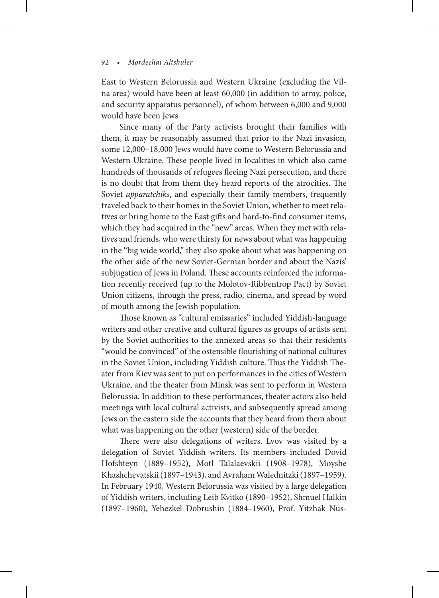East to Western Belorussia and Western Ukraine (excluding the Vilna area) would have been at least 60,000 (in addition to army, police, and security apparatus personnel), of whom between 6,000 and 9,000 would have been Jews.

Since many of the Party activists brought their families with them, it may be reasonably assumed that prior to the Nazi invasion, some 12,000–18,000 Jews would have come to Western Belorussia and Western Ukraine. These people lived in localities in which also came hundreds of thousands of refugees fleeing Nazi persecution, and there is no doubt that from them they heard reports of the atrocities. The Soviet *apparatchiks*, and especially their family members, frequently traveled back to their homes in the Soviet Union, whether to meet relatives or bring home to the East gifts and hard-to-find consumer items, which they had acquired in the "new" areas. When they met with relatives and friends, who were thirsty for news about what was happening in the "big wide world," they also spoke about what was happening on the other side of the new Soviet-German border and about the Nazis' subjugation of Jews in Poland. These accounts reinforced the information recently received (up to the Molotov-Ribbentrop Pact) by Soviet Union citizens, through the press, radio, cinema, and spread by word of mouth among the Jewish population.

Those known as "cultural emissaries" included Yiddish-language writers and other creative and cultural figures as groups of artists sent by the Soviet authorities to the annexed areas so that their residents "would be convinced" of the ostensible flourishing of national cultures in the Soviet Union, including Yiddish culture. Thus the Yiddish Theater from Kiev was sent to put on performances in the cities of Western Ukraine, and the theater from Minsk was sent to perform in Western Belorussia. In addition to these performances, theater actors also held meetings with local cultural activists, and subsequently spread among Jews on the eastern side the accounts that they heard from them about what was happening on the other (western) side of the border.

There were also delegations of writers. Lvov was visited by a delegation of Soviet Yiddish writers. Its members included Dovid Hofshteyn (1889–1952), Motl Talalaevskii (1908–1978), Moyshe Khashchevatskii (1897–1943), and Avraham Walednitzki (1897–1959). In February 1940, Western Belorussia was visited by a large delegation of Yiddish writers, including Leib Kvitko (1890–1952), Shmuel Halkin (1897–1960), Yehezkel Dobrushin (1884–1960), Prof. Yitzhak Nus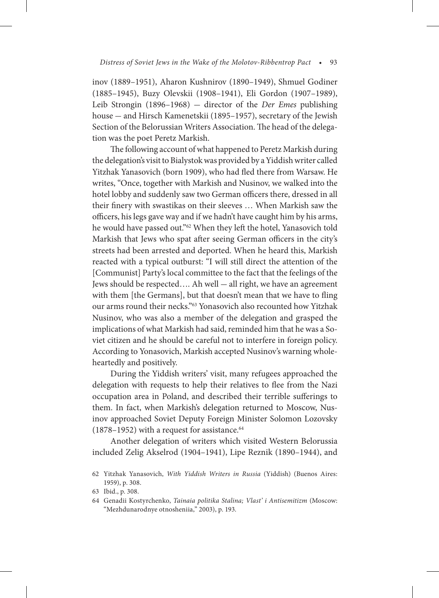inov (1889–1951), Aharon Kushnirov (1890–1949), Shmuel Godiner (1885–1945), Buzy Olevskii (1908–1941), Eli Gordon (1907–1989), Leib Strongin (1896–1968) — director of the *Der Emes* publishing house — and Hirsch Kamenetskii (1895–1957), secretary of the Jewish Section of the Belorussian Writers Association. The head of the delegation was the poet Peretz Markish.

The following account of what happened to Peretz Markish during the delegation's visit to Bialystok was provided by a Yiddish writer called Yitzhak Yanasovich (born 1909), who had fled there from Warsaw. He writes, "Once, together with Markish and Nusinov, we walked into the hotel lobby and suddenly saw two German officers there, dressed in all their finery with swastikas on their sleeves … When Markish saw the officers, his legs gave way and if we hadn't have caught him by his arms, he would have passed out."62 When they left the hotel, Yanasovich told Markish that Jews who spat after seeing German officers in the city's streets had been arrested and deported. When he heard this, Markish reacted with a typical outburst: "I will still direct the attention of the [Communist] Party's local committee to the fact that the feelings of the Jews should be respected…. Ah well — all right, we have an agreement with them [the Germans], but that doesn't mean that we have to fling our arms round their necks."63 Yonasovich also recounted how Yitzhak Nusinov, who was also a member of the delegation and grasped the implications of what Markish had said, reminded him that he was a Soviet citizen and he should be careful not to interfere in foreign policy. According to Yonasovich, Markish accepted Nusinov's warning wholeheartedly and positively.

During the Yiddish writers' visit, many refugees approached the delegation with requests to help their relatives to flee from the Nazi occupation area in Poland, and described their terrible sufferings to them. In fact, when Markish's delegation returned to Moscow, Nusinov approached Soviet Deputy Foreign Minister Solomon Lozovsky  $(1878-1952)$  with a request for assistance.<sup>64</sup>

Another delegation of writers which visited Western Belorussia included Zelig Akselrod (1904–1941), Lipe Reznik (1890–1944), and

<sup>62</sup> Yitzhak Yanasovich, *With Yiddish Writers in Russia* (Yiddish) (Buenos Aires: 1959), p. 308.

<sup>63</sup> Ibid., p. 308.

<sup>64</sup> Genadii Kostyrchenko, *Tainaia politika Stalina; Vlast' i Antisemitizm* (Moscow: "Mezhdunarodnye otnosheniia," 2003), p. 193.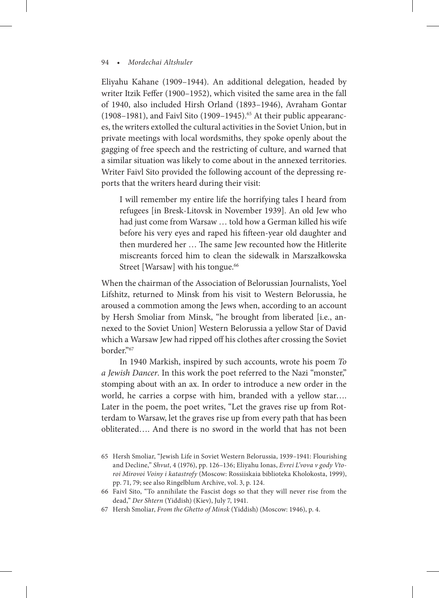Eliyahu Kahane (1909–1944). An additional delegation, headed by writer Itzik Feffer (1900–1952), which visited the same area in the fall of 1940, also included Hirsh Orland (1893–1946), Avraham Gontar (1908–1981), and Faivl Sito (1909–1945).<sup>65</sup> At their public appearances, the writers extolled the cultural activities in the Soviet Union, but in private meetings with local wordsmiths, they spoke openly about the gagging of free speech and the restricting of culture, and warned that a similar situation was likely to come about in the annexed territories. Writer Faivl Sito provided the following account of the depressing reports that the writers heard during their visit:

I will remember my entire life the horrifying tales I heard from refugees [in Bresk-Litovsk in November 1939]. An old Jew who had just come from Warsaw … told how a German killed his wife before his very eyes and raped his fifteen-year old daughter and then murdered her … The same Jew recounted how the Hitlerite miscreants forced him to clean the sidewalk in Marszałkowska Street [Warsaw] with his tongue.<sup>66</sup>

When the chairman of the Association of Belorussian Journalists, Yoel Lifshitz, returned to Minsk from his visit to Western Belorussia, he aroused a commotion among the Jews when, according to an account by Hersh Smoliar from Minsk, "he brought from liberated [i.e., annexed to the Soviet Union] Western Belorussia a yellow Star of David which a Warsaw Jew had ripped off his clothes after crossing the Soviet border."67

In 1940 Markish, inspired by such accounts, wrote his poem *To a Jewish Dancer*. In this work the poet referred to the Nazi "monster," stomping about with an ax. In order to introduce a new order in the world, he carries a corpse with him, branded with a yellow star…. Later in the poem, the poet writes, "Let the graves rise up from Rotterdam to Warsaw, let the graves rise up from every path that has been obliterated…. And there is no sword in the world that has not been

67 Hersh Smoliar, *From the Ghetto of Minsk* (Yiddish) (Moscow: 1946), p. 4.

<sup>65</sup> Hersh Smoliar, "Jewish Life in Soviet Western Belorussia, 1939–1941: Flourishing and Decline," *Shvut*, 4 (1976), pp. 126–136; Eliyahu Ionas, *Evrei L'vova v gody Vtoroi Mirovoi Voiny i katastrofy* (Moscow: Rossiiskaia biblioteka Kholokosta, 1999), pp. 71, 79; see also Ringelblum Archive, vol. 3, p. 124.

<sup>66</sup> Faivl Sito, "To annihilate the Fascist dogs so that they will never rise from the dead," *Der Shtern* (Yiddish) (Kiev), July 7, 1941.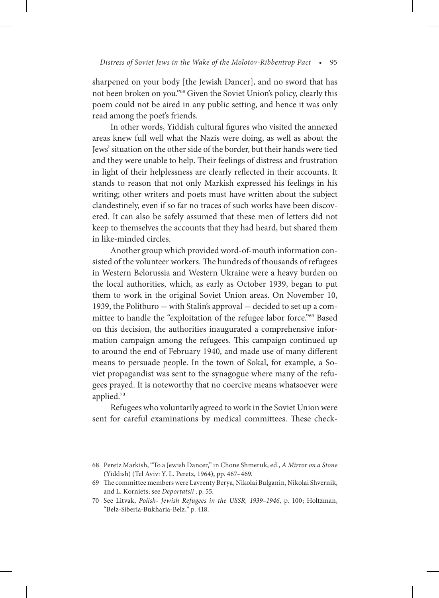sharpened on your body [the Jewish Dancer], and no sword that has not been broken on you."68 Given the Soviet Union's policy, clearly this poem could not be aired in any public setting, and hence it was only read among the poet's friends.

In other words, Yiddish cultural figures who visited the annexed areas knew full well what the Nazis were doing, as well as about the Jews' situation on the other side of the border, but their hands were tied and they were unable to help. Their feelings of distress and frustration in light of their helplessness are clearly reflected in their accounts. It stands to reason that not only Markish expressed his feelings in his writing; other writers and poets must have written about the subject clandestinely, even if so far no traces of such works have been discovered. It can also be safely assumed that these men of letters did not keep to themselves the accounts that they had heard, but shared them in like-minded circles.

Another group which provided word-of-mouth information consisted of the volunteer workers. The hundreds of thousands of refugees in Western Belorussia and Western Ukraine were a heavy burden on the local authorities, which, as early as October 1939, began to put them to work in the original Soviet Union areas. On November 10, 1939, the Politburo — with Stalin's approval — decided to set up a committee to handle the "exploitation of the refugee labor force."69 Based on this decision, the authorities inaugurated a comprehensive information campaign among the refugees. This campaign continued up to around the end of February 1940, and made use of many different means to persuade people. In the town of Sokal, for example, a Soviet propagandist was sent to the synagogue where many of the refugees prayed. It is noteworthy that no coercive means whatsoever were applied.70

Refugees who voluntarily agreed to work in the Soviet Union were sent for careful examinations by medical committees. These check-

<sup>68</sup> Peretz Markish, "To a Jewish Dancer," in Chone Shmeruk, ed., *A Mirror on a Stone*  (Yiddish) (Tel Aviv: Y. L. Peretz, 1964), pp. 467–469.

<sup>69</sup> The committee members were Lavrenty Berya, Nikolai Bulganin, Nikolai Shvernik, and L. Korniets; see *Deportatsii* , p. 55.

<sup>70</sup> See Litvak, *Polish- Jewish Refugees in the USSR, 1939–1946*, p. 100; Holtzman, "Belz-Siberia-Bukharia-Belz," p. 418.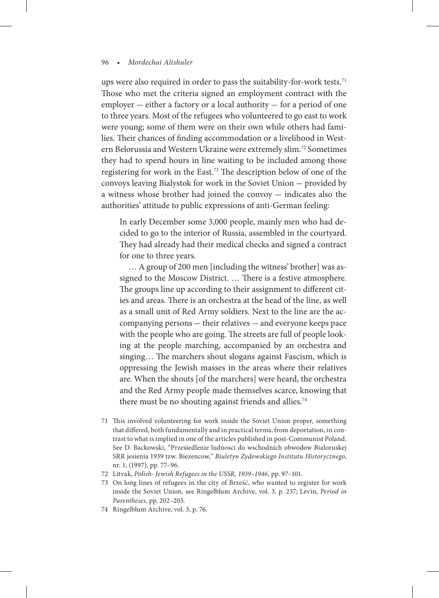ups were also required in order to pass the suitability-for-work tests.<sup>71</sup> Those who met the criteria signed an employment contract with the  $emplyer – either a factory or a local authority – for a period of one$ to three years. Most of the refugees who volunteered to go east to work were young; some of them were on their own while others had families. Their chances of finding accommodation or a livelihood in Western Belorussia and Western Ukraine were extremely slim.72 Sometimes they had to spend hours in line waiting to be included among those registering for work in the East.73 The description below of one of the convoys leaving Bialystok for work in the Soviet Union — provided by a witness whose brother had joined the convoy — indicates also the authorities' attitude to public expressions of anti-German feeling:

In early December some 3,000 people, mainly men who had decided to go to the interior of Russia, assembled in the courtyard. They had already had their medical checks and signed a contract for one to three years.

 … A group of 200 men [including the witness' brother] was assigned to the Moscow District. … There is a festive atmosphere. The groups line up according to their assignment to different cities and areas. There is an orchestra at the head of the line, as well as a small unit of Red Army soldiers. Next to the line are the accompanying persons — their relatives — and everyone keeps pace with the people who are going. The streets are full of people looking at the people marching, accompanied by an orchestra and singing… The marchers shout slogans against Fascism, which is oppressing the Jewish masses in the areas where their relatives are. When the shouts [of the marchers] were heard, the orchestra and the Red Army people made themselves scarce, knowing that there must be no shouting against friends and allies.<sup>74</sup>

- 71 This involved volunteering for work inside the Soviet Union proper, something that differed, both fundamentally and in practical terms, from deportation, in contrast to what is implied in one of the articles published in post-Communist Poland. See D. Backowski, "Przesiedlenie ludnosci do wschodnich obwodow Bialoruskej SRR jesienia 1939 tzw. Biezencow," *Biuletyn Zydowskiego Institutu Historycznego,*  nr. 1, (1997), pp. 77–96.
- 72 Litvak, *Polish- Jewish Refugees in the USSR, 1939–1946*, pp. 97–101.
- 73 On long lines of refugees in the city of Brześć, who wanted to register for work inside the Soviet Union, see Ringelblum Archive, vol. 3, p. 237; Levin, *Period in Parentheses*, pp. 202–205.
- 74 Ringelblum Archive, vol. 3, p. 76.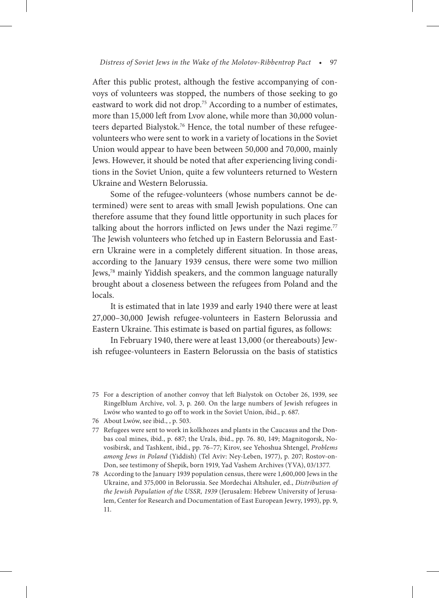After this public protest, although the festive accompanying of convoys of volunteers was stopped, the numbers of those seeking to go eastward to work did not drop.<sup>75</sup> According to a number of estimates, more than 15,000 left from Lvov alone, while more than 30,000 volunteers departed Bialystok.76 Hence, the total number of these refugeevolunteers who were sent to work in a variety of locations in the Soviet Union would appear to have been between 50,000 and 70,000, mainly Jews. However, it should be noted that after experiencing living conditions in the Soviet Union, quite a few volunteers returned to Western Ukraine and Western Belorussia.

Some of the refugee-volunteers (whose numbers cannot be determined) were sent to areas with small Jewish populations. One can therefore assume that they found little opportunity in such places for talking about the horrors inflicted on Jews under the Nazi regime.<sup>77</sup> The Jewish volunteers who fetched up in Eastern Belorussia and Eastern Ukraine were in a completely different situation. In those areas, according to the January 1939 census, there were some two million Jews,78 mainly Yiddish speakers, and the common language naturally brought about a closeness between the refugees from Poland and the locals.

It is estimated that in late 1939 and early 1940 there were at least 27,000–30,000 Jewish refugee-volunteers in Eastern Belorussia and Eastern Ukraine. This estimate is based on partial figures, as follows:

In February 1940, there were at least 13,000 (or thereabouts) Jewish refugee-volunteers in Eastern Belorussia on the basis of statistics

<sup>75</sup> For a description of another convoy that left Bialystok on October 26, 1939, see Ringelblum Archive, vol. 3, p. 260. On the large numbers of Jewish refugees in Lwów who wanted to go off to work in the Soviet Union, ibid., p. 687.

<sup>76</sup> About Lwów, see ibid., , p. 503.

<sup>77</sup> Refugees were sent to work in kolkhozes and plants in the Caucasus and the Donbas coal mines, ibid., p. 687; the Urals, ibid., pp. 76. 80, 149; Magnitogorsk, Novosibirsk, and Tashkent, ibid., pp. 76–77; Kirov, see Yehoshua Shtengel, *Problems among Jews in Poland* (Yiddish) (Tel Aviv: Ney-Leben, 1977), p. 207; Rostov-on-Don, see testimony of Shepik, born 1919, Yad Vashem Archives (YVA), 03/1377.

<sup>78</sup> According to the January 1939 population census, there were 1,600,000 Jews in the Ukraine, and 375,000 in Belorussia. See Mordechai Altshuler, ed., *Distribution of the Jewish Population of the USSR, 1939* (Jerusalem: Hebrew University of Jerusalem, Center for Research and Documentation of East European Jewry, 1993), pp. 9, 11.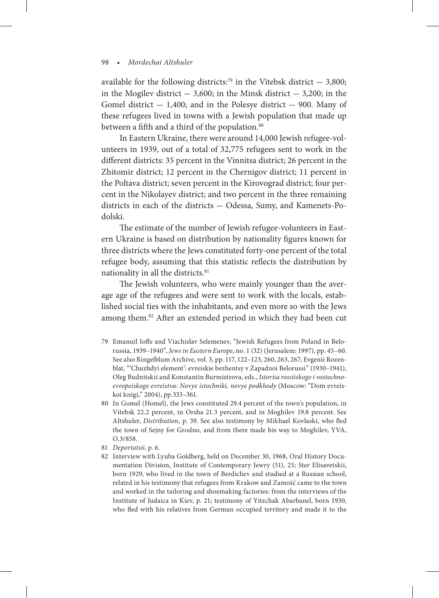available for the following districts:<sup>79</sup> in the Vitebsk district  $-$  3,800; in the Mogilev district  $-3,600$ ; in the Minsk district  $-3,200$ ; in the Gomel district  $-1,400$ ; and in the Polesye district  $-900$ . Many of these refugees lived in towns with a Jewish population that made up between a fifth and a third of the population.<sup>80</sup>

In Eastern Ukraine, there were around 14,000 Jewish refugee-volunteers in 1939, out of a total of 32,775 refugees sent to work in the different districts: 35 percent in the Vinnitsa district; 26 percent in the Zhitomir district; 12 percent in the Chernigov district; 11 percent in the Poltava district; seven percent in the Kirovograd district; four percent in the Nikolayev district; and two percent in the three remaining districts in each of the districts — Odessa, Sumy, and Kamenets-Podolski.

The estimate of the number of Jewish refugee-volunteers in Eastern Ukraine is based on distribution by nationality figures known for three districts where the Jews constituted forty-one percent of the total refugee body, assuming that this statistic reflects the distribution by nationality in all the districts.<sup>81</sup>

The Jewish volunteers, who were mainly younger than the average age of the refugees and were sent to work with the locals, established social ties with the inhabitants, and even more so with the Jews among them.82 After an extended period in which they had been cut

- 79 Emanuil Ioffe and Viachislav Selemenev, "Jewish Refugees from Poland in Belorussia, 1939–1940", *Jews in Eastern Europe*, no. 1 (32) (Jerusalem: 1997), pp. 45–60. See also Ringelblum Archive, vol. 3, pp. 117, 122–123, 260, 263, 267; Evgenii Rozenblat, "'Chuzhdyi element': evreiskie bezhentsy v Zapadnoi Belorussi" (1930–1941), Oleg Budnitskii and Konstantin Burmistrova, eds., *Istoriia rossiiskogo i vostochnoevropeiskogo evreistva: Novye istochniki, novye podkhody* (Moscow: "Dom evreiskoi knigi," 2004), pp.333–361.
- 80 In Gomel (Homel), the Jews constituted 29.4 percent of the town's population, in Vitebsk 22.2 percent, in Orsha 21.3 percent, and in Moghilev 19.8 percent. See Altshuler, *Distribution*, p. 39. See also testimony by Mikhael Kovlaski, who fled the town of Sejny for Grodno, and from there made his way to Moghilev, YVA, O.3/858.
- 81 *Deportatsii*, p. 6.
- 82 Interview with Lyuba Goldberg, held on December 30, 1968, Oral History Documentation Division, Institute of Contemporary Jewry (51), 25; Ster Elisavetskii, born 1929, who lived in the town of Berdichev and studied at a Russian school, related in his testimony that refugees from Krakow and Zamość came to the town and worked in the tailoring and shoemaking factories: from the interviews of the Institute of Judaica in Kiev, p. 21; testimony of Yitzchak Abarbanel, born 1930, who fled with his relatives from German occupied territory and made it to the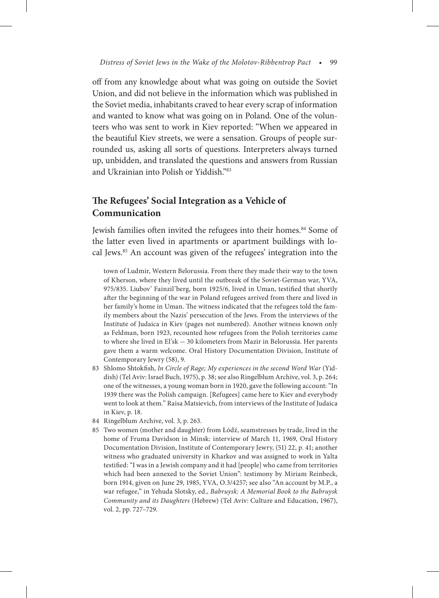off from any knowledge about what was going on outside the Soviet Union, and did not believe in the information which was published in the Soviet media, inhabitants craved to hear every scrap of information and wanted to know what was going on in Poland. One of the volunteers who was sent to work in Kiev reported: "When we appeared in the beautiful Kiev streets, we were a sensation. Groups of people surrounded us, asking all sorts of questions. Interpreters always turned up, unbidden, and translated the questions and answers from Russian and Ukrainian into Polish or Yiddish."83

# **The Refugees' Social Integration as a Vehicle of Communication**

Jewish families often invited the refugees into their homes.<sup>84</sup> Some of the latter even lived in apartments or apartment buildings with local Jews.<sup>85</sup> An account was given of the refugees' integration into the

town of Ludmir, Western Belorussia. From there they made their way to the town of Kherson, where they lived until the outbreak of the Soviet-German war, YVA, 975/835. Liubov' Fainzil'berg, born 1925/6, lived in Uman, testified that shortly after the beginning of the war in Poland refugees arrived from there and lived in her family's home in Uman. The witness indicated that the refugees told the family members about the Nazis' persecution of the Jews. From the interviews of the Institute of Judaica in Kiev (pages not numbered). Another witness known only as Feldman, born 1923, recounted how refugees from the Polish territories came to where she lived in El'sk — 30 kilometers from Mazir in Belorussia. Her parents gave them a warm welcome. Oral History Documentation Division, Institute of Contemporary Jewry (58), 9.

- 83 Shlomo Shtokfish, *In Circle of Rage; My experiences in the second Word War* (Yiddish) (Tel Aviv: Israel Buch, 1975), p. 38; see also Ringelblum Archive, vol. 3, p. 264; one of the witnesses, a young woman born in 1920, gave the following account: "In 1939 there was the Polish campaign. [Refugees] came here to Kiev and everybody went to look at them." Raisa Matsievich, from interviews of the Institute of Judaica in Kiev, p. 18.
- 84 Ringelblum Archive, vol. 3, p. 263.
- 85 Two women (mother and daughter) from Łódź, seamstresses by trade, lived in the home of Fruma Davidson in Minsk: interview of March 11, 1969, Oral History Documentation Division, Institute of Contemporary Jewry, (51) 22, p. 41; another witness who graduated university in Kharkov and was assigned to work in Yalta testified: "I was in a Jewish company and it had [people] who came from territories which had been annexed to the Soviet Union": testimony by Miriam Reinbeck, born 1914, given on June 29, 1985, YVA, O.3/4257; see also "An account by M.P., a war refugee," in Yehuda Slotsky, ed., *Babruysk: A Memorial Book to the Babruysk Community and its Daughters* (Hebrew) (Tel Aviv: Culture and Education, 1967), vol. 2, pp. 727–729.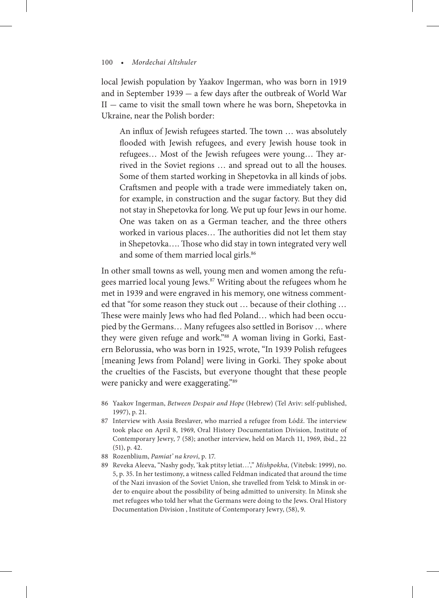local Jewish population by Yaakov Ingerman, who was born in 1919 and in September 1939 — a few days after the outbreak of World War  $II$  – came to visit the small town where he was born, Shepetovka in Ukraine, near the Polish border:

An influx of Jewish refugees started. The town … was absolutely flooded with Jewish refugees, and every Jewish house took in refugees… Most of the Jewish refugees were young… They arrived in the Soviet regions … and spread out to all the houses. Some of them started working in Shepetovka in all kinds of jobs. Craftsmen and people with a trade were immediately taken on, for example, in construction and the sugar factory. But they did not stay in Shepetovka for long. We put up four Jews in our home. One was taken on as a German teacher, and the three others worked in various places… The authorities did not let them stay in Shepetovka…. Those who did stay in town integrated very well and some of them married local girls.<sup>86</sup>

In other small towns as well, young men and women among the refugees married local young Jews.<sup>87</sup> Writing about the refugees whom he met in 1939 and were engraved in his memory, one witness commented that "for some reason they stuck out … because of their clothing … These were mainly Jews who had fled Poland… which had been occupied by the Germans… Many refugees also settled in Borisov … where they were given refuge and work."88 A woman living in Gorki, Eastern Belorussia, who was born in 1925, wrote, "In 1939 Polish refugees [meaning Jews from Poland] were living in Gorki. They spoke about the cruelties of the Fascists, but everyone thought that these people were panicky and were exaggerating."89

- 86 Yaakov Ingerman, *Between Despair and Hope* (Hebrew) (Tel Aviv: self-published, 1997), p. 21.
- 87 Interview with Assia Breslaver, who married a refugee from Łódź. The interview took place on April 8, 1969, Oral History Documentation Division, Institute of Contemporary Jewry, 7 (58); another interview, held on March 11, 1969, ibid., 22 (51), p. 42.
- 88 Rozenblium, *Pamiat' na krovi*, p. 17.
- 89 Reveka Aleeva, "Nashy gody, 'kak ptitsy letiat…'," *Mishpokha,* (Vitebsk: 1999), no. 5, p. 35. In her testimony, a witness called Feldman indicated that around the time of the Nazi invasion of the Soviet Union, she travelled from Yelsk to Minsk in order to enquire about the possibility of being admitted to university. In Minsk she met refugees who told her what the Germans were doing to the Jews. Oral History Documentation Division , Institute of Contemporary Jewry, (58), 9.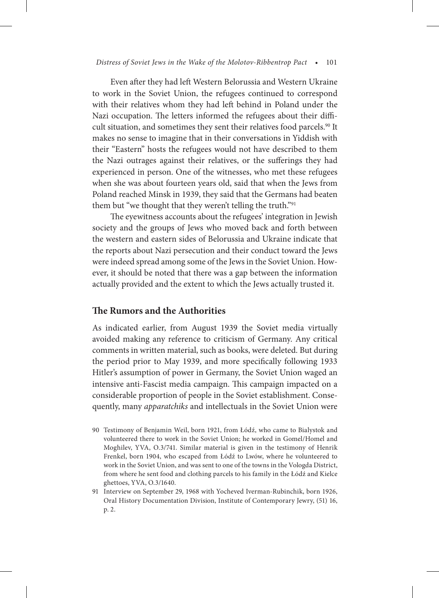#### *Distress of Soviet Jews in the Wake of the Molotov-Ribbentrop Pact* • 101

Even after they had left Western Belorussia and Western Ukraine to work in the Soviet Union, the refugees continued to correspond with their relatives whom they had left behind in Poland under the Nazi occupation. The letters informed the refugees about their difficult situation, and sometimes they sent their relatives food parcels.<sup>90</sup> It makes no sense to imagine that in their conversations in Yiddish with their "Eastern" hosts the refugees would not have described to them the Nazi outrages against their relatives, or the sufferings they had experienced in person. One of the witnesses, who met these refugees when she was about fourteen years old, said that when the Jews from Poland reached Minsk in 1939, they said that the Germans had beaten them but "we thought that they weren't telling the truth."<sup>91</sup>

The eyewitness accounts about the refugees' integration in Jewish society and the groups of Jews who moved back and forth between the western and eastern sides of Belorussia and Ukraine indicate that the reports about Nazi persecution and their conduct toward the Jews were indeed spread among some of the Jews in the Soviet Union. However, it should be noted that there was a gap between the information actually provided and the extent to which the Jews actually trusted it.

### **The Rumors and the Authorities**

As indicated earlier, from August 1939 the Soviet media virtually avoided making any reference to criticism of Germany. Any critical comments in written material, such as books, were deleted. But during the period prior to May 1939, and more specifically following 1933 Hitler's assumption of power in Germany, the Soviet Union waged an intensive anti-Fascist media campaign. This campaign impacted on a considerable proportion of people in the Soviet establishment. Consequently, many *apparatchiks* and intellectuals in the Soviet Union were

- 90 Testimony of Benjamin Weil, born 1921, from Łódź, who came to Bialystok and volunteered there to work in the Soviet Union; he worked in Gomel/Homel and Moghilev, YVA, O.3/741. Similar material is given in the testimony of Henrik Frenkel, born 1904, who escaped from Łódź to Lwów, where he volunteered to work in the Soviet Union, and was sent to one of the towns in the Vologda District, from where he sent food and clothing parcels to his family in the Łódź and Kielce ghettoes, YVA, O.3/1640.
- 91 Interview on September 29, 1968 with Yocheved Iverman-Rubinchik, born 1926, Oral History Documentation Division, Institute of Contemporary Jewry, (51) 16, p. 2.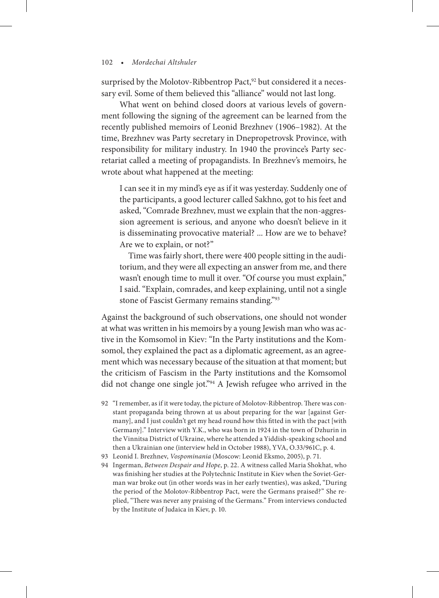surprised by the Molotov-Ribbentrop Pact,<sup>92</sup> but considered it a necessary evil. Some of them believed this "alliance" would not last long.

What went on behind closed doors at various levels of government following the signing of the agreement can be learned from the recently published memoirs of Leonid Brezhnev (1906–1982). At the time, Brezhnev was Party secretary in Dnepropetrovsk Province, with responsibility for military industry. In 1940 the province's Party secretariat called a meeting of propagandists. In Brezhnev's memoirs, he wrote about what happened at the meeting:

I can see it in my mind's eye as if it was yesterday. Suddenly one of the participants, a good lecturer called Sakhno, got to his feet and asked, "Comrade Brezhnev, must we explain that the non-aggression agreement is serious, and anyone who doesn't believe in it is disseminating provocative material? ... How are we to behave? Are we to explain, or not?"

 Time was fairly short, there were 400 people sitting in the auditorium, and they were all expecting an answer from me, and there wasn't enough time to mull it over. "Of course you must explain," I said. "Explain, comrades, and keep explaining, until not a single stone of Fascist Germany remains standing."93

Against the background of such observations, one should not wonder at what was written in his memoirs by a young Jewish man who was active in the Komsomol in Kiev: "In the Party institutions and the Komsomol, they explained the pact as a diplomatic agreement, as an agreement which was necessary because of the situation at that moment; but the criticism of Fascism in the Party institutions and the Komsomol did not change one single jot."94 A Jewish refugee who arrived in the

- 92 "I remember, as if it were today, the picture of Molotov-Ribbentrop. There was constant propaganda being thrown at us about preparing for the war [against Germany], and I just couldn't get my head round how this fitted in with the pact [with Germany]." Interview with Y.K., who was born in 1924 in the town of Dzhurin in the Vinnitsa District of Ukraine, where he attended a Yiddish-speaking school and then a Ukrainian one (interview held in October 1988), YVA, O.33/961C, p. 4.
- 93 Leonid I. Brezhnev, *Vospominania* (Moscow: Leonid Eksmo, 2005), p. 71.
- 94 Ingerman, *Between Despair and Hope*, p. 22. A witness called Maria Shokhat, who was finishing her studies at the Polytechnic Institute in Kiev when the Soviet-German war broke out (in other words was in her early twenties), was asked, "During the period of the Molotov-Ribbentrop Pact, were the Germans praised?" She replied, "There was never any praising of the Germans." From interviews conducted by the Institute of Judaica in Kiev, p. 10.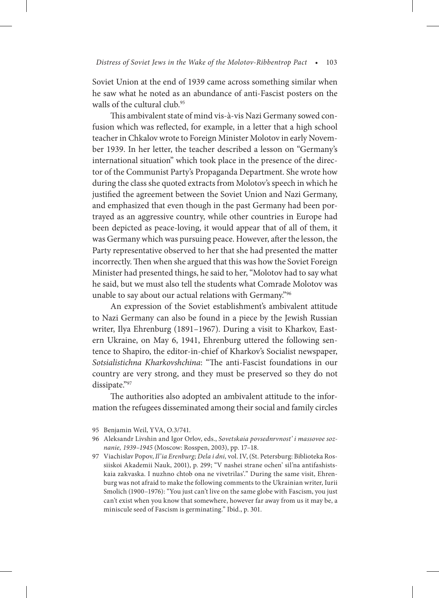Soviet Union at the end of 1939 came across something similar when he saw what he noted as an abundance of anti-Fascist posters on the walls of the cultural club.<sup>95</sup>

This ambivalent state of mind vis-à-vis Nazi Germany sowed confusion which was reflected, for example, in a letter that a high school teacher in Chkalov wrote to Foreign Minister Molotov in early November 1939. In her letter, the teacher described a lesson on "Germany's international situation" which took place in the presence of the director of the Communist Party's Propaganda Department. She wrote how during the class she quoted extracts from Molotov's speech in which he justified the agreement between the Soviet Union and Nazi Germany, and emphasized that even though in the past Germany had been portrayed as an aggressive country, while other countries in Europe had been depicted as peace-loving, it would appear that of all of them, it was Germany which was pursuing peace. However, after the lesson, the Party representative observed to her that she had presented the matter incorrectly. Then when she argued that this was how the Soviet Foreign Minister had presented things, he said to her, "Molotov had to say what he said, but we must also tell the students what Comrade Molotov was unable to say about our actual relations with Germany."96

An expression of the Soviet establishment's ambivalent attitude to Nazi Germany can also be found in a piece by the Jewish Russian writer, Ilya Ehrenburg (1891–1967). During a visit to Kharkov, Eastern Ukraine, on May 6, 1941, Ehrenburg uttered the following sentence to Shapiro, the editor-in-chief of Kharkov's Socialist newspaper, *Sotsialistichna Kharkovshchina*: "The anti-Fascist foundations in our country are very strong, and they must be preserved so they do not dissipate."97

The authorities also adopted an ambivalent attitude to the information the refugees disseminated among their social and family circles

- 96 Aleksandr Livshin and Igor Orlov, eds., *Sovetskaia povsednrvnost' i massovoe soznanie, 1939–1945* (Moscow: Rosspen, 2003), pp. 17–18.
- 97 Viachislav Popov, *Il'ia Erenburg; Dela i dni,* vol. IV, (St. Petersburg: Biblioteka Rossiiskoi Akademii Nauk, 2001), p. 299; "V nashei strane ochen' sil'na antifashistskaia zakvaska. I nuzhno chtob ona ne vivetrilas'." During the same visit, Ehrenburg was not afraid to make the following comments to the Ukrainian writer, Iurii Smolich (1900–1976): "You just can't live on the same globe with Fascism, you just can't exist when you know that somewhere, however far away from us it may be, a miniscule seed of Fascism is germinating." Ibid., p. 301.

<sup>95</sup> Benjamin Weil, YVA, O.3/741.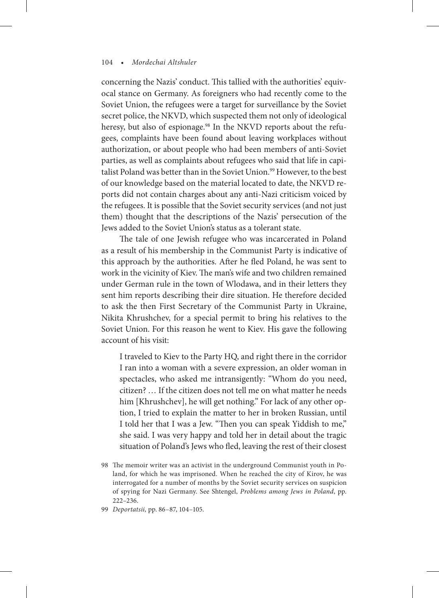concerning the Nazis' conduct. This tallied with the authorities' equivocal stance on Germany. As foreigners who had recently come to the Soviet Union, the refugees were a target for surveillance by the Soviet secret police, the NKVD, which suspected them not only of ideological heresy, but also of espionage.<sup>98</sup> In the NKVD reports about the refugees, complaints have been found about leaving workplaces without authorization, or about people who had been members of anti-Soviet parties, as well as complaints about refugees who said that life in capitalist Poland was better than in the Soviet Union.<sup>99</sup> However, to the best of our knowledge based on the material located to date, the NKVD reports did not contain charges about any anti-Nazi criticism voiced by the refugees. It is possible that the Soviet security services (and not just them) thought that the descriptions of the Nazis' persecution of the Jews added to the Soviet Union's status as a tolerant state.

The tale of one Jewish refugee who was incarcerated in Poland as a result of his membership in the Communist Party is indicative of this approach by the authorities. After he fled Poland, he was sent to work in the vicinity of Kiev. The man's wife and two children remained under German rule in the town of Wlodawa, and in their letters they sent him reports describing their dire situation. He therefore decided to ask the then First Secretary of the Communist Party in Ukraine, Nikita Khrushchev, for a special permit to bring his relatives to the Soviet Union. For this reason he went to Kiev. His gave the following account of his visit:

I traveled to Kiev to the Party HQ, and right there in the corridor I ran into a woman with a severe expression, an older woman in spectacles, who asked me intransigently: "Whom do you need, citizen? … If the citizen does not tell me on what matter he needs him [Khrushchev], he will get nothing." For lack of any other option, I tried to explain the matter to her in broken Russian, until I told her that I was a Jew. "Then you can speak Yiddish to me," she said. I was very happy and told her in detail about the tragic situation of Poland's Jews who fled, leaving the rest of their closest

99 *Deportatsii,* pp. 86–87, 104–105.

<sup>98</sup> The memoir writer was an activist in the underground Communist youth in Poland, for which he was imprisoned. When he reached the city of Kirov, he was interrogated for a number of months by the Soviet security services on suspicion of spying for Nazi Germany. See Shtengel, *Problems among Jews in Poland*, pp. 222–236.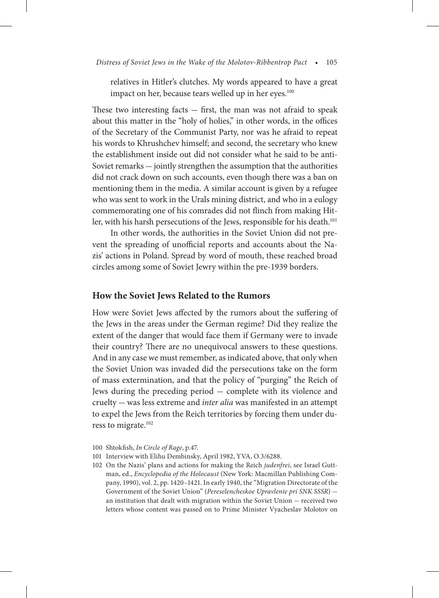relatives in Hitler's clutches. My words appeared to have a great impact on her, because tears welled up in her eyes.<sup>100</sup>

These two interesting facts  $-$  first, the man was not afraid to speak about this matter in the "holy of holies," in other words, in the offices of the Secretary of the Communist Party, nor was he afraid to repeat his words to Khrushchev himself; and second, the secretary who knew the establishment inside out did not consider what he said to be anti-Soviet remarks — jointly strengthen the assumption that the authorities did not crack down on such accounts, even though there was a ban on mentioning them in the media. A similar account is given by a refugee who was sent to work in the Urals mining district, and who in a eulogy commemorating one of his comrades did not flinch from making Hitler, with his harsh persecutions of the Jews, responsible for his death.<sup>101</sup>

In other words, the authorities in the Soviet Union did not prevent the spreading of unofficial reports and accounts about the Nazis' actions in Poland. Spread by word of mouth, these reached broad circles among some of Soviet Jewry within the pre-1939 borders.

### **How the Soviet Jews Related to the Rumors**

How were Soviet Jews affected by the rumors about the suffering of the Jews in the areas under the German regime? Did they realize the extent of the danger that would face them if Germany were to invade their country? There are no unequivocal answers to these questions. And in any case we must remember, as indicated above, that only when the Soviet Union was invaded did the persecutions take on the form of mass extermination, and that the policy of "purging" the Reich of Jews during the preceding period — complete with its violence and cruelty — was less extreme and *inter alia* was manifested in an attempt to expel the Jews from the Reich territories by forcing them under duress to migrate.<sup>102</sup>

- 101 Interview with Elihu Dembinsky, April 1982, YVA, O.3/6288.
- 102 On the Nazis' plans and actions for making the Reich *judenfrei*, see Israel Guttman, ed., *Encyclopedia of the Holocaust* (New York: Macmillan Publishing Company, 1990), vol. 2, pp. 1420–1421. In early 1940, the "Migration Directorate of the Government of the Soviet Union" (*Pereselencheskoe Upravlenie pri SNK SSSR*) an institution that dealt with migration within the Soviet Union — received two letters whose content was passed on to Prime Minister Vyacheslav Molotov on

<sup>100</sup> Shtokfish, *In Circle of Rage*, p.47.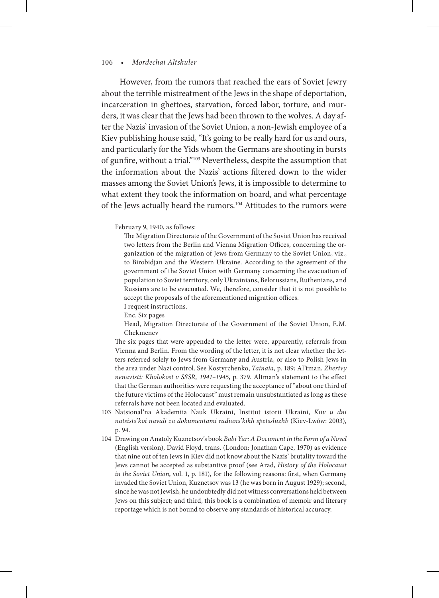However, from the rumors that reached the ears of Soviet Jewry about the terrible mistreatment of the Jews in the shape of deportation, incarceration in ghettoes, starvation, forced labor, torture, and murders, it was clear that the Jews had been thrown to the wolves. A day after the Nazis' invasion of the Soviet Union, a non-Jewish employee of a Kiev publishing house said, "It's going to be really hard for us and ours, and particularly for the Yids whom the Germans are shooting in bursts of gunfire, without a trial."103 Nevertheless, despite the assumption that the information about the Nazis' actions filtered down to the wider masses among the Soviet Union's Jews, it is impossible to determine to what extent they took the information on board, and what percentage of the Jews actually heard the rumors.104 Attitudes to the rumors were

#### February 9, 1940, as follows:

 The Migration Directorate of the Government of the Soviet Union has received two letters from the Berlin and Vienna Migration Offices, concerning the organization of the migration of Jews from Germany to the Soviet Union, viz., to Birobidjan and the Western Ukraine. According to the agreement of the government of the Soviet Union with Germany concerning the evacuation of population to Soviet territory, only Ukrainians, Belorussians, Ruthenians, and Russians are to be evacuated. We, therefore, consider that it is not possible to accept the proposals of the aforementioned migration offices.

I request instructions.

Enc. Six pages

 Head, Migration Directorate of the Government of the Soviet Union, E.M. Chekmenev

 The six pages that were appended to the letter were, apparently, referrals from Vienna and Berlin. From the wording of the letter, it is not clear whether the letters referred solely to Jews from Germany and Austria, or also to Polish Jews in the area under Nazi control. See Kostyrchenko, *Tainaia,* p. 189; Al'tman, *Zhertvy nenavisti: Kholokost v SSSR, 1941–1945*, p. 379. Altman's statement to the effect that the German authorities were requesting the acceptance of "about one third of the future victims of the Holocaust" must remain unsubstantiated as long as these referrals have not been located and evaluated.

- 103 Natsional'na Akademiia Nauk Ukraini, Institut istorii Ukraini, *Kiiv u dni natsists'koi navali za dokumentami radians'kikh spetssluzhb* (Kiev-Lwów: 2003), p. 94.
- 104 Drawing on Anatoly Kuznetsov's book *Babi Yar: A Document in the Form of a Novel*  (English version), David Floyd, trans. (London: Jonathan Cape, 1970) as evidence that nine out of ten Jews in Kiev did not know about the Nazis' brutality toward the Jews cannot be accepted as substantive proof (see Arad, *History of the Holocaust in the Soviet Union*, vol. 1, p. 181), for the following reasons: first, when Germany invaded the Soviet Union, Kuznetsov was 13 (he was born in August 1929); second, since he was not Jewish, he undoubtedly did not witness conversations held between Jews on this subject; and third, this book is a combination of memoir and literary reportage which is not bound to observe any standards of historical accuracy.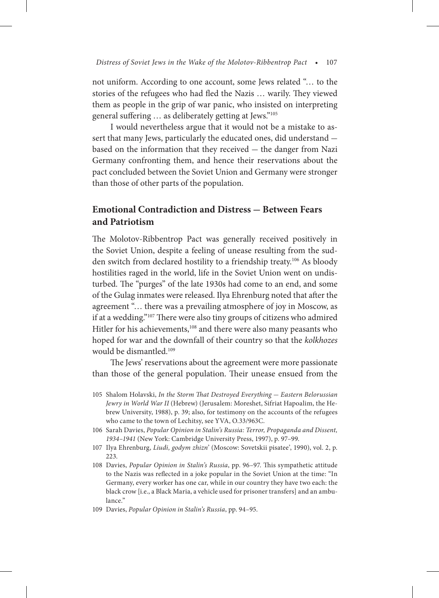not uniform. According to one account, some Jews related "… to the stories of the refugees who had fled the Nazis … warily. They viewed them as people in the grip of war panic, who insisted on interpreting general suffering … as deliberately getting at Jews."105

I would nevertheless argue that it would not be a mistake to assert that many Jews, particularly the educated ones, did understand based on the information that they received — the danger from Nazi Germany confronting them, and hence their reservations about the pact concluded between the Soviet Union and Germany were stronger than those of other parts of the population.

## **Emotional Contradiction and Distress — Between Fears and Patriotism**

The Molotov-Ribbentrop Pact was generally received positively in the Soviet Union, despite a feeling of unease resulting from the sudden switch from declared hostility to a friendship treaty.<sup>106</sup> As bloody hostilities raged in the world, life in the Soviet Union went on undisturbed. The "purges" of the late 1930s had come to an end, and some of the Gulag inmates were released. Ilya Ehrenburg noted that after the agreement "… there was a prevailing atmosphere of joy in Moscow, as if at a wedding."107 There were also tiny groups of citizens who admired Hitler for his achievements,<sup>108</sup> and there were also many peasants who hoped for war and the downfall of their country so that the *kolkhozes* would be dismantled.109

The Jews' reservations about the agreement were more passionate than those of the general population. Their unease ensued from the

- 105 Shalom Holavski, *In the Storm That Destroyed Everything* — *Eastern Belorussian Jewry in World War II* (Hebrew) (Jerusalem: Moreshet, Sifriat Hapoalim, the Hebrew University, 1988), p. 39; also, for testimony on the accounts of the refugees who came to the town of Lechitsy, see YVA, O.33/963C.
- 106 Sarah Davies, *Popular Opinion in Stalin's Russia: Terror, Propaganda and Dissent, 1934–1941* (New York: Cambridge University Press, 1997), p. 97–99.
- 107 Ilya Ehrenburg, *Liudi, godym zhizn*' (Moscow: Sovetskii pisatee', 1990), vol. 2, p. 223.
- 108 Davies, *Popular Opinion in Stalin's Russia*, pp. 96–97. This sympathetic attitude to the Nazis was reflected in a joke popular in the Soviet Union at the time: "In Germany, every worker has one car, while in our country they have two each: the black crow [i.e., a Black Maria, a vehicle used for prisoner transfers] and an ambulance."
- 109 Davies, *Popular Opinion in Stalin's Russia*, pp. 94–95.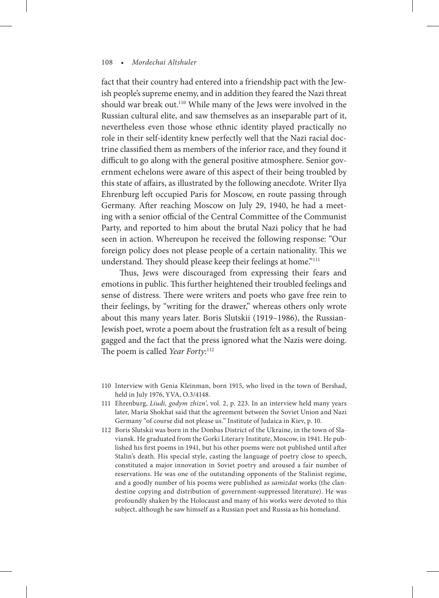fact that their country had entered into a friendship pact with the Jewish people's supreme enemy, and in addition they feared the Nazi threat should war break out.<sup>110</sup> While many of the Jews were involved in the Russian cultural elite, and saw themselves as an inseparable part of it, nevertheless even those whose ethnic identity played practically no role in their self-identity knew perfectly well that the Nazi racial doctrine classified them as members of the inferior race, and they found it difficult to go along with the general positive atmosphere. Senior government echelons were aware of this aspect of their being troubled by this state of affairs, as illustrated by the following anecdote. Writer Ilya Ehrenburg left occupied Paris for Moscow, en route passing through Germany. After reaching Moscow on July 29, 1940, he had a meeting with a senior official of the Central Committee of the Communist Party, and reported to him about the brutal Nazi policy that he had seen in action. Whereupon he received the following response: "Our foreign policy does not please people of a certain nationality. This we understand. They should please keep their feelings at home."<sup>111</sup>

Thus, Jews were discouraged from expressing their fears and emotions in public. This further heightened their troubled feelings and sense of distress. There were writers and poets who gave free rein to their feelings, by "writing for the drawer," whereas others only wrote about this many years later. Boris Slutskii (1919–1986), the Russian-Jewish poet, wrote a poem about the frustration felt as a result of being gagged and the fact that the press ignored what the Nazis were doing. The poem is called *Year Forty*: 112

- 110 Interview with Genia Kleinman, born 1915, who lived in the town of Bershad, held in July 1976, YVA, O.3/4148.
- 111 Ehrenburg, *Liudi, godym zhizn'*, vol. 2, p. 223. In an interview held many years later, Maria Shokhat said that the agreement between the Soviet Union and Nazi Germany "of course did not please us." Institute of Judaica in Kiev, p. 10.
- 112 Boris Slutskii was born in the Donbas District of the Ukraine, in the town of Slaviansk. He graduated from the Gorki Literary Institute, Moscow, in 1941. He published his first poems in 1941, but his other poems were not published until after Stalin's death. His special style, casting the language of poetry close to speech, constituted a major innovation in Soviet poetry and aroused a fair number of reservations. He was one of the outstanding opponents of the Stalinist regime, and a goodly number of his poems were published as *samizdat* works (the clandestine copying and distribution of government-suppressed literature). He was profoundly shaken by the Holocaust and many of his works were devoted to this subject, although he saw himself as a Russian poet and Russia as his homeland.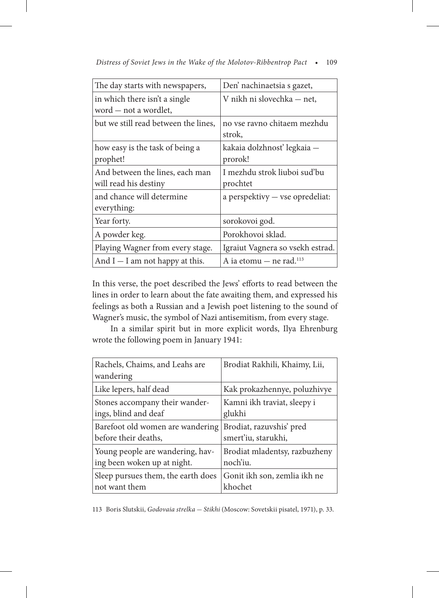| The day starts with newspapers,                          | Den' nachinaetsia s gazet,               |
|----------------------------------------------------------|------------------------------------------|
| in which there isn't a single<br>word – not a wordlet,   | V nikh ni slovechka - net,               |
| but we still read between the lines,                     | no vse ravno chitaem mezhdu<br>strok,    |
| how easy is the task of being a<br>prophet!              | kakaia dolzhnosť legkaia –<br>prorok!    |
| And between the lines, each man<br>will read his destiny | I mezhdu strok liuboi sud'bu<br>prochtet |
| and chance will determine<br>everything:                 | a perspektivy - vse opredeliat:          |
| Year forty.                                              | sorokovoi god.                           |
| A powder keg.                                            | Porokhovoi sklad.                        |
| Playing Wagner from every stage.                         | Igraiut Vagnera so vsekh estrad.         |
| And $I - I$ am not happy at this.                        | A ia etomu $-$ ne rad. <sup>113</sup>    |

*Distress of Soviet Jews in the Wake of the Molotov-Ribbentrop Pact* • 109

In this verse, the poet described the Jews' efforts to read between the lines in order to learn about the fate awaiting them, and expressed his feelings as both a Russian and a Jewish poet listening to the sound of Wagner's music, the symbol of Nazi antisemitism, from every stage.

In a similar spirit but in more explicit words, Ilya Ehrenburg wrote the following poem in January 1941:

| Rachels, Chaims, and Leahs are<br>wandering | Brodiat Rakhili, Khaimy, Lii, |
|---------------------------------------------|-------------------------------|
| Like lepers, half dead                      | Kak prokazhennye, poluzhivye  |
| Stones accompany their wander-              | Kamni ikh traviat, sleepy i   |
| ings, blind and deaf                        | glukhi                        |
| Barefoot old women are wandering            | Brodiat, razuvshis' pred      |
| before their deaths,                        | smert'iu, starukhi,           |
| Young people are wandering, hav-            | Brodiat mladentsy, razbuzheny |
| ing been woken up at night.                 | noch'iu.                      |
| Sleep pursues them, the earth does          | Gonit ikh son, zemlia ikh ne  |
| not want them                               | khochet                       |

113 Boris Slutskii, *Godovaia strelka* — *Stikhi* (Moscow: Sovetskii pisatel, 1971), p. 33.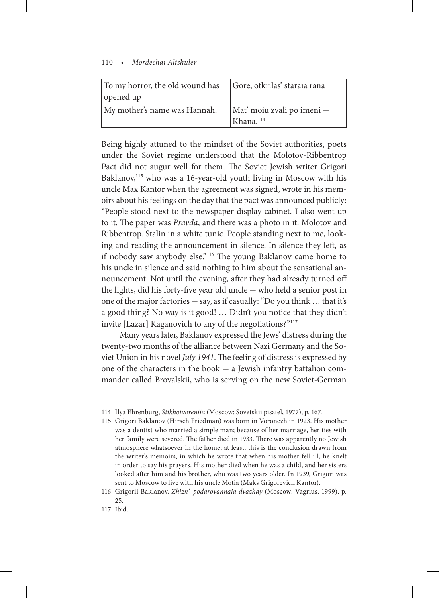| To my horror, the old wound has | Gore, otkrilas' staraia rana                        |
|---------------------------------|-----------------------------------------------------|
| opened up                       |                                                     |
| My mother's name was Hannah.    | Mat' moiu zvali po imeni -<br>Khana. <sup>114</sup> |

Being highly attuned to the mindset of the Soviet authorities, poets under the Soviet regime understood that the Molotov-Ribbentrop Pact did not augur well for them. The Soviet Jewish writer Grigori Baklanov,<sup>115</sup> who was a 16-year-old youth living in Moscow with his uncle Max Kantor when the agreement was signed, wrote in his memoirs about his feelings on the day that the pact was announced publicly: "People stood next to the newspaper display cabinet. I also went up to it. The paper was *Pravda*, and there was a photo in it: Molotov and Ribbentrop. Stalin in a white tunic. People standing next to me, looking and reading the announcement in silence. In silence they left, as if nobody saw anybody else."116 The young Baklanov came home to his uncle in silence and said nothing to him about the sensational announcement. Not until the evening, after they had already turned off the lights, did his forty-five year old uncle — who held a senior post in one of the major factories — say, as if casually: "Do you think … that it's a good thing? No way is it good! … Didn't you notice that they didn't invite [Lazar] Kaganovich to any of the negotiations?"117

Many years later, Baklanov expressed the Jews' distress during the twenty-two months of the alliance between Nazi Germany and the Soviet Union in his novel *July 1941*. The feeling of distress is expressed by one of the characters in the book — a Jewish infantry battalion commander called Brovalskii, who is serving on the new Soviet-German

- 115 Grigori Baklanov (Hirsch Friedman) was born in Voronezh in 1923. His mother was a dentist who married a simple man; because of her marriage, her ties with her family were severed. The father died in 1933. There was apparently no Jewish atmosphere whatsoever in the home; at least, this is the conclusion drawn from the writer's memoirs, in which he wrote that when his mother fell ill, he knelt in order to say his prayers. His mother died when he was a child, and her sisters looked after him and his brother, who was two years older. In 1939, Grigori was sent to Moscow to live with his uncle Motia (Maks Grigorevich Kantor).
- 116 Grigorii Baklanov, *Zhizn', podarovannaia dvazhdy* (Moscow: Vagrius, 1999), p. 25.
- 117 Ibid.

<sup>114</sup> Ilya Ehrenburg, *Stikhotvoreniia* (Moscow: Sovetskii pisatel, 1977), p. 167.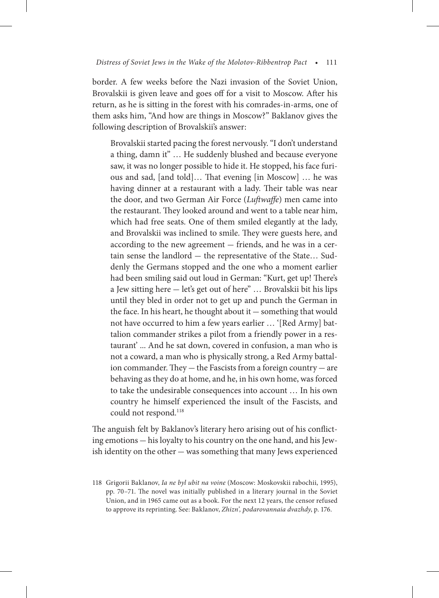border. A few weeks before the Nazi invasion of the Soviet Union, Brovalskii is given leave and goes off for a visit to Moscow. After his return, as he is sitting in the forest with his comrades-in-arms, one of them asks him, "And how are things in Moscow?" Baklanov gives the following description of Brovalskii's answer:

Brovalskii started pacing the forest nervously. "I don't understand a thing, damn it" … He suddenly blushed and because everyone saw, it was no longer possible to hide it. He stopped, his face furious and sad, [and told]… That evening [in Moscow] … he was having dinner at a restaurant with a lady. Their table was near the door, and two German Air Force (*Luftwaffe*) men came into the restaurant. They looked around and went to a table near him, which had free seats. One of them smiled elegantly at the lady, and Brovalskii was inclined to smile. They were guests here, and according to the new agreement — friends, and he was in a certain sense the landlord — the representative of the State… Suddenly the Germans stopped and the one who a moment earlier had been smiling said out loud in German: "Kurt, get up! There's a Jew sitting here — let's get out of here" … Brovalskii bit his lips until they bled in order not to get up and punch the German in the face. In his heart, he thought about it — something that would not have occurred to him a few years earlier … '[Red Army] battalion commander strikes a pilot from a friendly power in a restaurant' ... And he sat down, covered in confusion, a man who is not a coward, a man who is physically strong, a Red Army battalion commander. They — the Fascists from a foreign country — are behaving as they do at home, and he, in his own home, was forced to take the undesirable consequences into account … In his own country he himself experienced the insult of the Fascists, and could not respond.<sup>118</sup>

The anguish felt by Baklanov's literary hero arising out of his conflicting emotions — his loyalty to his country on the one hand, and his Jewish identity on the other — was something that many Jews experienced

<sup>118</sup> Grigorii Baklanov, *Ia ne byl ubit na voine* (Moscow: Moskovskii rabochii, 1995), pp. 70–71. The novel was initially published in a literary journal in the Soviet Union, and in 1965 came out as a book. For the next 12 years, the censor refused to approve its reprinting. See: Baklanov, *Zhizn', podarovannaia dvazhdy*, p. 176.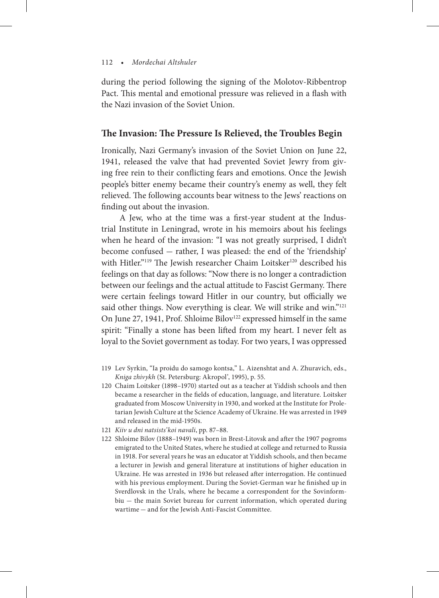during the period following the signing of the Molotov-Ribbentrop Pact. This mental and emotional pressure was relieved in a flash with the Nazi invasion of the Soviet Union.

#### **The Invasion: The Pressure Is Relieved, the Troubles Begin**

Ironically, Nazi Germany's invasion of the Soviet Union on June 22, 1941, released the valve that had prevented Soviet Jewry from giving free rein to their conflicting fears and emotions. Once the Jewish people's bitter enemy became their country's enemy as well, they felt relieved. The following accounts bear witness to the Jews' reactions on finding out about the invasion.

A Jew, who at the time was a first-year student at the Industrial Institute in Leningrad, wrote in his memoirs about his feelings when he heard of the invasion: "I was not greatly surprised, I didn't become confused — rather, I was pleased: the end of the 'friendship' with Hitler."<sup>119</sup> The Jewish researcher Chaim Loitsker<sup>120</sup> described his feelings on that day as follows: "Now there is no longer a contradiction between our feelings and the actual attitude to Fascist Germany. There were certain feelings toward Hitler in our country, but officially we said other things. Now everything is clear. We will strike and win."<sup>121</sup> On June 27, 1941, Prof. Shloime Bilov<sup>122</sup> expressed himself in the same spirit: "Finally a stone has been lifted from my heart. I never felt as loyal to the Soviet government as today. For two years, I was oppressed

- 119 Lev Syrkin, "Ia proidu do samogo kontsa," L. Aizenshtat and A. Zhuravich, eds., *Kniga zhivykh* (St. Petersburg: Akropol', 1995), p. 55.
- 120 Chaim Loitsker (1898–1970) started out as a teacher at Yiddish schools and then became a researcher in the fields of education, language, and literature. Loitsker graduated from Moscow University in 1930, and worked at the Institute for Proletarian Jewish Culture at the Science Academy of Ukraine. He was arrested in 1949 and released in the mid-1950s.
- 121 *Kiiv u dni natsists'koi navali*, pp. 87–88.
- 122 Shloime Bilov (1888–1949) was born in Brest-Litovsk and after the 1907 pogroms emigrated to the United States, where he studied at college and returned to Russia in 1918. For several years he was an educator at Yiddish schools, and then became a lecturer in Jewish and general literature at institutions of higher education in Ukraine. He was arrested in 1936 but released after interrogation. He continued with his previous employment. During the Soviet-German war he finished up in Sverdlovsk in the Urals, where he became a correspondent for the Sovinformbiu — the main Soviet bureau for current information, which operated during wartime — and for the Jewish Anti-Fascist Committee.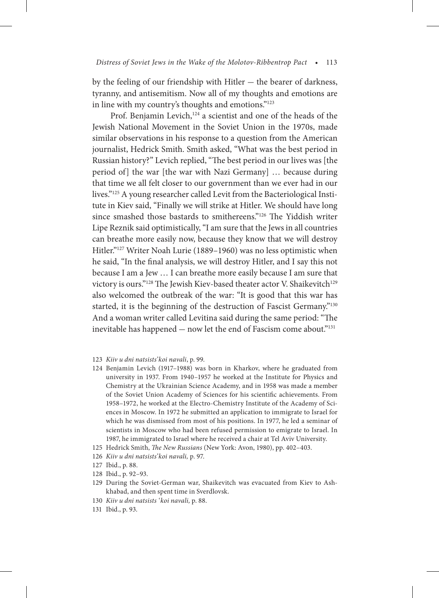by the feeling of our friendship with Hitler — the bearer of darkness, tyranny, and antisemitism. Now all of my thoughts and emotions are in line with my country's thoughts and emotions."123

Prof. Benjamin Levich,<sup>124</sup> a scientist and one of the heads of the Jewish National Movement in the Soviet Union in the 1970s, made similar observations in his response to a question from the American journalist, Hedrick Smith. Smith asked, "What was the best period in Russian history?" Levich replied, "The best period in our lives was [the period of] the war [the war with Nazi Germany] … because during that time we all felt closer to our government than we ever had in our lives."125 A young researcher called Levit from the Bacteriological Institute in Kiev said, "Finally we will strike at Hitler. We should have long since smashed those bastards to smithereens."126 The Yiddish writer Lipe Reznik said optimistically, "I am sure that the Jews in all countries can breathe more easily now, because they know that we will destroy Hitler."127 Writer Noah Lurie (1889–1960) was no less optimistic when he said, "In the final analysis, we will destroy Hitler, and I say this not because I am a Jew … I can breathe more easily because I am sure that victory is ours."<sup>128</sup> The Jewish Kiev-based theater actor V. Shaikevitch<sup>129</sup> also welcomed the outbreak of the war: "It is good that this war has started, it is the beginning of the destruction of Fascist Germany."<sup>130</sup> And a woman writer called Levitina said during the same period: "The inevitable has happened — now let the end of Fascism come about."131

- 123 *Kiiv u dni natsists'koi navali*, p. 99.
- 124 Benjamin Levich (1917–1988) was born in Kharkov, where he graduated from university in 1937. From 1940–1957 he worked at the Institute for Physics and Chemistry at the Ukrainian Science Academy, and in 1958 was made a member of the Soviet Union Academy of Sciences for his scientific achievements. From 1958–1972, he worked at the Electro-Chemistry Institute of the Academy of Sciences in Moscow. In 1972 he submitted an application to immigrate to Israel for which he was dismissed from most of his positions. In 1977, he led a seminar of scientists in Moscow who had been refused permission to emigrate to Israel. In 1987, he immigrated to Israel where he received a chair at Tel Aviv University.
- 125 Hedrick Smith, *The New Russians* (New York: Avon, 1980), pp. 402–403.
- 126 *Kiiv u dni natsists'koi navali,* p. 97.
- 127 Ibid., p. 88.
- 128 Ibid., p. 92–93.
- 129 During the Soviet-German war, Shaikevitch was evacuated from Kiev to Ashkhabad, and then spent time in Sverdlovsk.
- 130 *Kiiv u dni natsists 'koi navali,* p. 88.
- 131 Ibid., p. 93.